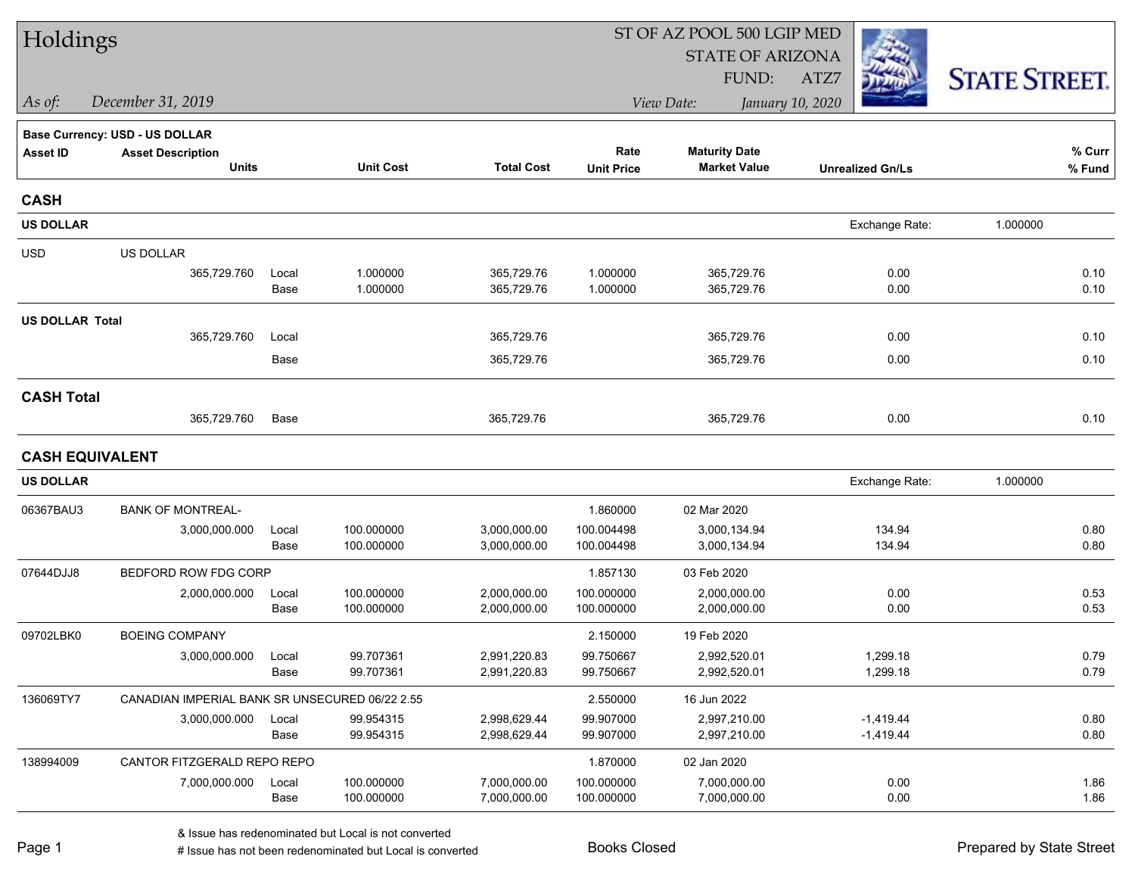| Holdings               |                                                |       |                  |                   |                   | ST OF AZ POOL 500 LGIP MED |                         |                      |  |
|------------------------|------------------------------------------------|-------|------------------|-------------------|-------------------|----------------------------|-------------------------|----------------------|--|
|                        |                                                |       |                  |                   |                   | <b>STATE OF ARIZONA</b>    |                         |                      |  |
|                        |                                                |       |                  |                   |                   | FUND:                      | ATZ7                    | <b>STATE STREET.</b> |  |
| As of:                 | December 31, 2019                              |       |                  |                   |                   | View Date:                 | January 10, 2020        |                      |  |
|                        | Base Currency: USD - US DOLLAR                 |       |                  |                   |                   |                            |                         |                      |  |
| <b>Asset ID</b>        | <b>Asset Description</b>                       |       |                  |                   | Rate              | <b>Maturity Date</b>       |                         | % Curr               |  |
|                        | <b>Units</b>                                   |       | <b>Unit Cost</b> | <b>Total Cost</b> | <b>Unit Price</b> | <b>Market Value</b>        | <b>Unrealized Gn/Ls</b> | % Fund               |  |
| <b>CASH</b>            |                                                |       |                  |                   |                   |                            |                         |                      |  |
| <b>US DOLLAR</b>       |                                                |       |                  |                   |                   |                            | Exchange Rate:          | 1.000000             |  |
| <b>USD</b>             | US DOLLAR                                      |       |                  |                   |                   |                            |                         |                      |  |
|                        | 365,729.760                                    | Local | 1.000000         | 365,729.76        | 1.000000          | 365,729.76                 | 0.00                    | 0.10                 |  |
|                        |                                                | Base  | 1.000000         | 365,729.76        | 1.000000          | 365,729.76                 | 0.00                    | 0.10                 |  |
| <b>US DOLLAR Total</b> |                                                |       |                  |                   |                   |                            |                         |                      |  |
|                        | 365,729.760                                    | Local |                  | 365,729.76        |                   | 365,729.76                 | 0.00                    | 0.10                 |  |
|                        |                                                | Base  |                  | 365,729.76        |                   | 365,729.76                 | 0.00                    | 0.10                 |  |
| <b>CASH Total</b>      |                                                |       |                  |                   |                   |                            |                         |                      |  |
|                        | 365,729.760                                    | Base  |                  | 365,729.76        |                   | 365,729.76                 | 0.00                    | 0.10                 |  |
| <b>CASH EQUIVALENT</b> |                                                |       |                  |                   |                   |                            |                         |                      |  |
| <b>US DOLLAR</b>       |                                                |       |                  |                   |                   |                            | Exchange Rate:          | 1.000000             |  |
| 06367BAU3              | <b>BANK OF MONTREAL-</b>                       |       |                  |                   | 1.860000          | 02 Mar 2020                |                         |                      |  |
|                        | 3,000,000.000                                  | Local | 100.000000       | 3,000,000.00      | 100.004498        | 3,000,134.94               | 134.94                  | 0.80                 |  |
|                        |                                                | Base  | 100.000000       | 3,000,000.00      | 100.004498        | 3,000,134.94               | 134.94                  | 0.80                 |  |
| 07644DJJ8              | BEDFORD ROW FDG CORP                           |       |                  |                   | 1.857130          | 03 Feb 2020                |                         |                      |  |
|                        | 2,000,000.000                                  | Local | 100.000000       | 2,000,000.00      | 100.000000        | 2,000,000.00               | 0.00                    | 0.53                 |  |
|                        |                                                | Base  | 100.000000       | 2,000,000.00      | 100.000000        | 2,000,000.00               | 0.00                    | 0.53                 |  |
| 09702LBK0              | <b>BOEING COMPANY</b>                          |       |                  |                   | 2.150000          | 19 Feb 2020                |                         |                      |  |
|                        | 3,000,000.000                                  | Local | 99.707361        | 2,991,220.83      | 99.750667         | 2,992,520.01               | 1,299.18                | 0.79                 |  |
|                        |                                                | Base  | 99.707361        | 2,991,220.83      | 99.750667         | 2,992,520.01               | 1,299.18                | 0.79                 |  |
| 136069TY7              | CANADIAN IMPERIAL BANK SR UNSECURED 06/22 2.55 |       |                  |                   | 2.550000          | 16 Jun 2022                |                         |                      |  |
|                        | 3,000,000.000                                  | Local | 99.954315        | 2,998,629.44      | 99.907000         | 2,997,210.00               | $-1,419.44$             | 0.80                 |  |
|                        |                                                | Base  | 99.954315        | 2,998,629.44      | 99.907000         | 2,997,210.00               | $-1,419.44$             | 0.80                 |  |
| 138994009              | CANTOR FITZGERALD REPO REPO                    |       |                  |                   | 1.870000          | 02 Jan 2020                |                         |                      |  |
|                        | 7,000,000.000                                  | Local | 100.000000       | 7,000,000.00      | 100.000000        | 7,000,000.00               | 0.00                    | 1.86                 |  |
|                        |                                                | Base  | 100.000000       | 7,000,000.00      | 100.000000        | 7,000,000.00               | 0.00                    | 1.86                 |  |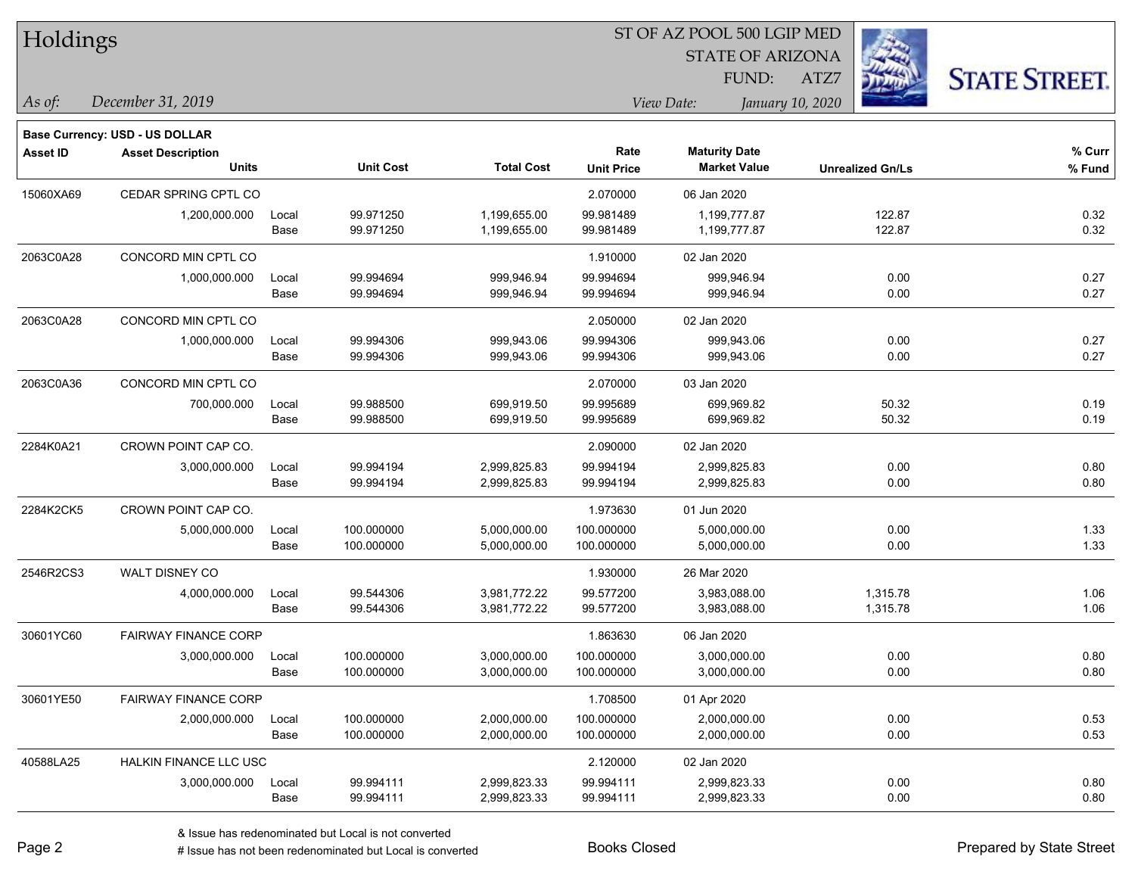| Holdings        |                                       |       |                  |                   | ST OF AZ POOL 500 LGIP MED |                                |                         |                      |  |
|-----------------|---------------------------------------|-------|------------------|-------------------|----------------------------|--------------------------------|-------------------------|----------------------|--|
|                 |                                       |       |                  |                   |                            | <b>STATE OF ARIZONA</b>        |                         |                      |  |
|                 |                                       |       |                  |                   |                            | FUND:                          | 缀<br>ATZ7               | <b>STATE STREET.</b> |  |
| $\vert$ As of:  | December 31, 2019                     |       |                  |                   |                            | View Date:<br>January 10, 2020 |                         |                      |  |
|                 | <b>Base Currency: USD - US DOLLAR</b> |       |                  |                   |                            |                                |                         |                      |  |
| <b>Asset ID</b> | <b>Asset Description</b>              |       |                  |                   | Rate                       | <b>Maturity Date</b>           |                         | % Curr               |  |
|                 | <b>Units</b>                          |       | <b>Unit Cost</b> | <b>Total Cost</b> | <b>Unit Price</b>          | <b>Market Value</b>            | <b>Unrealized Gn/Ls</b> | % Fund               |  |
| 15060XA69       | CEDAR SPRING CPTL CO                  |       |                  |                   | 2.070000                   | 06 Jan 2020                    |                         |                      |  |
|                 | 1,200,000.000                         | Local | 99.971250        | 1,199,655.00      | 99.981489                  | 1,199,777.87                   | 122.87                  | 0.32                 |  |
|                 |                                       | Base  | 99.971250        | 1,199,655.00      | 99.981489                  | 1,199,777.87                   | 122.87                  | 0.32                 |  |
| 2063C0A28       | CONCORD MIN CPTL CO                   |       |                  |                   | 1.910000                   | 02 Jan 2020                    |                         |                      |  |
|                 | 1,000,000.000                         | Local | 99.994694        | 999,946.94        | 99.994694                  | 999,946.94                     | 0.00                    | 0.27                 |  |
|                 |                                       | Base  | 99.994694        | 999,946.94        | 99.994694                  | 999,946.94                     | 0.00                    | 0.27                 |  |
| 2063C0A28       | CONCORD MIN CPTL CO                   |       |                  |                   | 2.050000                   | 02 Jan 2020                    |                         |                      |  |
|                 | 1,000,000.000                         | Local | 99.994306        | 999,943.06        | 99.994306                  | 999,943.06                     | 0.00                    | 0.27                 |  |
|                 |                                       | Base  | 99.994306        | 999,943.06        | 99.994306                  | 999,943.06                     | 0.00                    | 0.27                 |  |
| 2063C0A36       | CONCORD MIN CPTL CO                   |       |                  |                   | 2.070000                   | 03 Jan 2020                    |                         |                      |  |
|                 | 700,000.000                           | Local | 99.988500        | 699,919.50        | 99.995689                  | 699,969.82                     | 50.32                   | 0.19                 |  |
|                 |                                       | Base  | 99.988500        | 699,919.50        | 99.995689                  | 699,969.82                     | 50.32                   | 0.19                 |  |
| 2284K0A21       | CROWN POINT CAP CO.                   |       |                  |                   | 2.090000                   | 02 Jan 2020                    |                         |                      |  |
|                 | 3,000,000.000                         | Local | 99.994194        | 2,999,825.83      | 99.994194                  | 2,999,825.83                   | 0.00                    | 0.80                 |  |
|                 |                                       | Base  | 99.994194        | 2,999,825.83      | 99.994194                  | 2,999,825.83                   | 0.00                    | 0.80                 |  |
| 2284K2CK5       | CROWN POINT CAP CO.                   |       |                  |                   | 1.973630                   | 01 Jun 2020                    |                         |                      |  |
|                 | 5,000,000.000                         | Local | 100.000000       | 5,000,000.00      | 100.000000                 | 5,000,000.00                   | 0.00                    | 1.33                 |  |
|                 |                                       | Base  | 100.000000       | 5,000,000.00      | 100.000000                 | 5,000,000.00                   | 0.00                    | 1.33                 |  |
| 2546R2CS3       | WALT DISNEY CO                        |       |                  |                   | 1.930000                   | 26 Mar 2020                    |                         |                      |  |
|                 | 4,000,000.000                         | Local | 99.544306        | 3,981,772.22      | 99.577200                  | 3,983,088.00                   | 1,315.78                | 1.06                 |  |
|                 |                                       | Base  | 99.544306        | 3,981,772.22      | 99.577200                  | 3,983,088.00                   | 1,315.78                | 1.06                 |  |
| 30601YC60       | <b>FAIRWAY FINANCE CORP</b>           |       |                  |                   | 1.863630                   | 06 Jan 2020                    |                         |                      |  |
|                 | 3,000,000.000                         | Local | 100.000000       | 3,000,000.00      | 100.000000                 | 3,000,000.00                   | 0.00                    | 0.80                 |  |
|                 |                                       | Base  | 100.000000       | 3,000,000.00      | 100.000000                 | 3,000,000.00                   | 0.00                    | 0.80                 |  |
| 30601YE50       | <b>FAIRWAY FINANCE CORP</b>           |       |                  |                   | 1.708500                   | 01 Apr 2020                    |                         |                      |  |
|                 | 2,000,000.000                         | Local | 100.000000       | 2,000,000.00      | 100.000000                 | 2,000,000.00                   | 0.00                    | 0.53                 |  |
|                 |                                       | Base  | 100.000000       | 2,000,000.00      | 100.000000                 | 2,000,000.00                   | 0.00                    | 0.53                 |  |
| 40588LA25       | HALKIN FINANCE LLC USC                |       |                  |                   | 2.120000                   | 02 Jan 2020                    |                         |                      |  |
|                 | 3,000,000.000                         | Local | 99.994111        | 2,999,823.33      | 99.994111                  | 2,999,823.33                   | 0.00                    | 0.80                 |  |
|                 |                                       | Base  | 99.994111        | 2,999,823.33      | 99.994111                  | 2,999,823.33                   | 0.00                    | 0.80                 |  |

 $\overline{\phantom{a}}$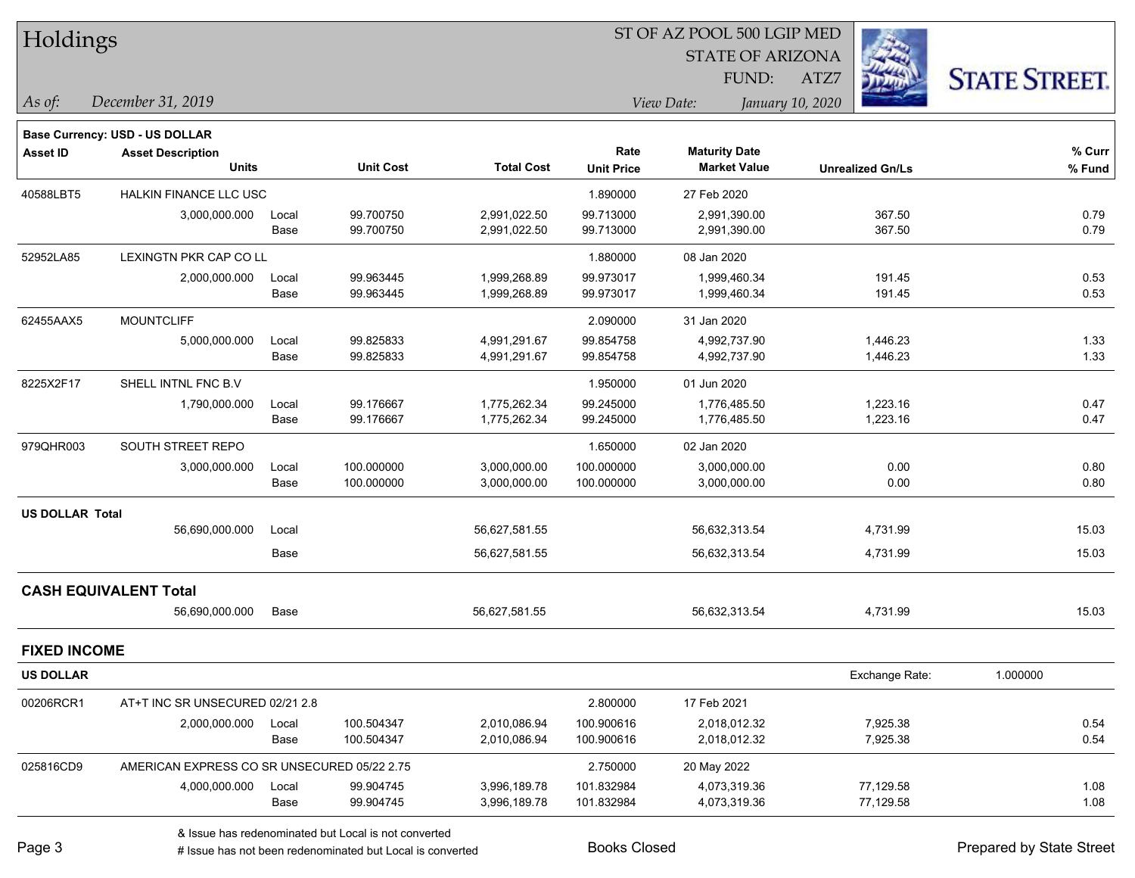| Holdings               |                                             |       |                  |                   |                   | ST OF AZ POOL 500 LGIP MED |                         |                      |
|------------------------|---------------------------------------------|-------|------------------|-------------------|-------------------|----------------------------|-------------------------|----------------------|
|                        |                                             |       |                  |                   |                   | <b>STATE OF ARIZONA</b>    |                         |                      |
|                        |                                             |       |                  |                   |                   | FUND:                      | ATZ7                    | <b>STATE STREET.</b> |
| As of:                 | December 31, 2019                           |       |                  |                   |                   | View Date:                 | January 10, 2020        |                      |
|                        | <b>Base Currency: USD - US DOLLAR</b>       |       |                  |                   |                   |                            |                         |                      |
| <b>Asset ID</b>        | <b>Asset Description</b>                    |       |                  |                   | Rate              | <b>Maturity Date</b>       |                         | % Curr               |
|                        | <b>Units</b>                                |       | <b>Unit Cost</b> | <b>Total Cost</b> | <b>Unit Price</b> | <b>Market Value</b>        | <b>Unrealized Gn/Ls</b> | % Fund               |
| 40588LBT5              | HALKIN FINANCE LLC USC                      |       |                  |                   | 1.890000          | 27 Feb 2020                |                         |                      |
|                        | 3,000,000.000                               | Local | 99.700750        | 2,991,022.50      | 99.713000         | 2,991,390.00               | 367.50                  | 0.79                 |
|                        |                                             | Base  | 99.700750        | 2,991,022.50      | 99.713000         | 2,991,390.00               | 367.50                  | 0.79                 |
| 52952LA85              | LEXINGTN PKR CAP CO LL                      |       |                  |                   | 1.880000          | 08 Jan 2020                |                         |                      |
|                        | 2,000,000.000                               | Local | 99.963445        | 1,999,268.89      | 99.973017         | 1,999,460.34               | 191.45                  | 0.53                 |
|                        |                                             | Base  | 99.963445        | 1,999,268.89      | 99.973017         | 1,999,460.34               | 191.45                  | 0.53                 |
| 62455AAX5              | <b>MOUNTCLIFF</b>                           |       |                  |                   | 2.090000          | 31 Jan 2020                |                         |                      |
|                        | 5,000,000.000                               | Local | 99.825833        | 4,991,291.67      | 99.854758         | 4,992,737.90               | 1,446.23                | 1.33                 |
|                        |                                             | Base  | 99.825833        | 4,991,291.67      | 99.854758         | 4,992,737.90               | 1,446.23                | 1.33                 |
| 8225X2F17              | SHELL INTNL FNC B.V                         |       |                  |                   | 1.950000          | 01 Jun 2020                |                         |                      |
|                        | 1,790,000.000                               | Local | 99.176667        | 1,775,262.34      | 99.245000         | 1,776,485.50               | 1,223.16                | 0.47                 |
|                        |                                             | Base  | 99.176667        | 1,775,262.34      | 99.245000         | 1,776,485.50               | 1,223.16                | 0.47                 |
| 979QHR003              | SOUTH STREET REPO                           |       |                  |                   | 1.650000          | 02 Jan 2020                |                         |                      |
|                        | 3,000,000.000                               | Local | 100.000000       | 3,000,000.00      | 100.000000        | 3,000,000.00               | 0.00                    | 0.80                 |
|                        |                                             | Base  | 100.000000       | 3,000,000.00      | 100.000000        | 3,000,000.00               | 0.00                    | 0.80                 |
| <b>US DOLLAR Total</b> |                                             |       |                  |                   |                   |                            |                         |                      |
|                        | 56,690,000.000                              | Local |                  | 56,627,581.55     |                   | 56,632,313.54              | 4,731.99                | 15.03                |
|                        |                                             | Base  |                  | 56,627,581.55     |                   | 56,632,313.54              | 4,731.99                | 15.03                |
|                        | <b>CASH EQUIVALENT Total</b>                |       |                  |                   |                   |                            |                         |                      |
|                        | 56,690,000.000                              | Base  |                  | 56,627,581.55     |                   | 56,632,313.54              | 4,731.99                | 15.03                |
| <b>FIXED INCOME</b>    |                                             |       |                  |                   |                   |                            |                         |                      |
| <b>US DOLLAR</b>       |                                             |       |                  |                   |                   |                            | Exchange Rate:          | 1.000000             |
| 00206RCR1              | AT+T INC SR UNSECURED 02/21 2.8             |       |                  |                   | 2.800000          | 17 Feb 2021                |                         |                      |
|                        | 2,000,000.000                               | Local | 100.504347       | 2,010,086.94      | 100.900616        | 2,018,012.32               | 7,925.38                | 0.54                 |
|                        |                                             | Base  | 100.504347       | 2,010,086.94      | 100.900616        | 2,018,012.32               | 7,925.38                | 0.54                 |
| 025816CD9              | AMERICAN EXPRESS CO SR UNSECURED 05/22 2.75 |       |                  |                   | 2.750000          | 20 May 2022                |                         |                      |
|                        | 4,000,000.000                               | Local | 99.904745        | 3,996,189.78      | 101.832984        | 4,073,319.36               | 77,129.58               | 1.08                 |
|                        |                                             | Base  | 99.904745        | 3,996,189.78      | 101.832984        | 4,073,319.36               | 77,129.58               | 1.08                 |
|                        |                                             |       |                  |                   |                   |                            |                         |                      |

denote the redenominated but Local is converted Books Closed Prepared by State Street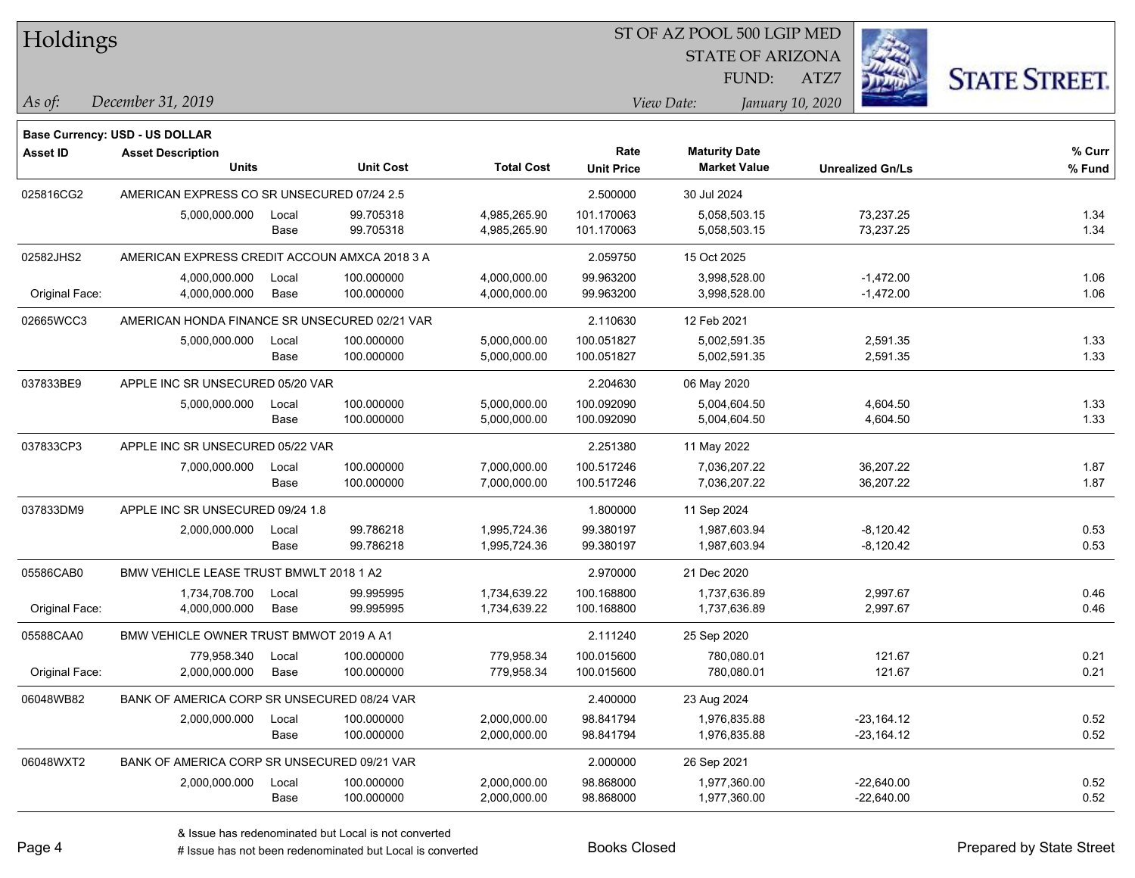| Holdings        |                                               |       |                  |                   |                   | ST OF AZ POOL 500 LGIP MED                  |                         |                      |
|-----------------|-----------------------------------------------|-------|------------------|-------------------|-------------------|---------------------------------------------|-------------------------|----------------------|
|                 |                                               |       |                  |                   |                   | <b>STATE OF ARIZONA</b>                     |                         |                      |
|                 |                                               |       |                  |                   |                   | FUND:                                       | ATZ7                    | <b>STATE STREET.</b> |
| As of:          | December 31, 2019                             |       |                  |                   |                   | View Date:                                  | January 10, 2020        |                      |
|                 |                                               |       |                  |                   |                   |                                             |                         |                      |
|                 | Base Currency: USD - US DOLLAR                |       |                  |                   |                   |                                             |                         |                      |
| <b>Asset ID</b> | <b>Asset Description</b><br><b>Units</b>      |       | <b>Unit Cost</b> | <b>Total Cost</b> | Rate              | <b>Maturity Date</b><br><b>Market Value</b> |                         | $%$ Curr             |
|                 |                                               |       |                  |                   | <b>Unit Price</b> |                                             | <b>Unrealized Gn/Ls</b> | % Fund               |
| 025816CG2       | AMERICAN EXPRESS CO SR UNSECURED 07/24 2.5    |       |                  |                   | 2.500000          | 30 Jul 2024                                 |                         |                      |
|                 | 5,000,000.000                                 | Local | 99.705318        | 4,985,265.90      | 101.170063        | 5,058,503.15                                | 73,237.25               | 1.34                 |
|                 |                                               | Base  | 99.705318        | 4,985,265.90      | 101.170063        | 5,058,503.15                                | 73,237.25               | 1.34                 |
| 02582JHS2       | AMERICAN EXPRESS CREDIT ACCOUN AMXCA 2018 3 A |       |                  |                   | 2.059750          | 15 Oct 2025                                 |                         |                      |
|                 | 4,000,000.000                                 | Local | 100.000000       | 4,000,000.00      | 99.963200         | 3,998,528.00                                | $-1,472.00$             | 1.06                 |
| Original Face:  | 4,000,000.000                                 | Base  | 100.000000       | 4,000,000.00      | 99.963200         | 3,998,528.00                                | $-1,472.00$             | 1.06                 |
| 02665WCC3       | AMERICAN HONDA FINANCE SR UNSECURED 02/21 VAR |       |                  |                   | 2.110630          | 12 Feb 2021                                 |                         |                      |
|                 | 5,000,000.000                                 | Local | 100.000000       | 5,000,000.00      | 100.051827        | 5,002,591.35                                | 2,591.35                | 1.33                 |
|                 |                                               | Base  | 100.000000       | 5,000,000.00      | 100.051827        | 5,002,591.35                                | 2,591.35                | 1.33                 |
| 037833BE9       | APPLE INC SR UNSECURED 05/20 VAR              |       |                  |                   | 2.204630          | 06 May 2020                                 |                         |                      |
|                 | 5,000,000.000                                 | Local | 100.000000       | 5,000,000.00      | 100.092090        | 5,004,604.50                                | 4,604.50                | 1.33                 |
|                 |                                               | Base  | 100.000000       | 5,000,000.00      | 100.092090        | 5,004,604.50                                | 4,604.50                | 1.33                 |
| 037833CP3       | APPLE INC SR UNSECURED 05/22 VAR              |       |                  |                   | 2.251380          | 11 May 2022                                 |                         |                      |
|                 | 7,000,000.000                                 | Local | 100.000000       | 7,000,000.00      | 100.517246        | 7,036,207.22                                | 36,207.22               | 1.87                 |
|                 |                                               | Base  | 100.000000       | 7,000,000.00      | 100.517246        | 7,036,207.22                                | 36,207.22               | 1.87                 |
| 037833DM9       | APPLE INC SR UNSECURED 09/24 1.8              |       |                  |                   | 1.800000          | 11 Sep 2024                                 |                         |                      |
|                 | 2,000,000.000                                 | Local | 99.786218        | 1,995,724.36      | 99.380197         | 1,987,603.94                                | $-8,120.42$             | 0.53                 |
|                 |                                               | Base  | 99.786218        | 1,995,724.36      | 99.380197         | 1,987,603.94                                | $-8,120.42$             | 0.53                 |
| 05586CAB0       | BMW VEHICLE LEASE TRUST BMWLT 2018 1 A2       |       |                  |                   | 2.970000          | 21 Dec 2020                                 |                         |                      |
|                 | 1,734,708.700                                 | Local | 99.995995        | 1,734,639.22      | 100.168800        | 1,737,636.89                                | 2,997.67                | 0.46                 |
| Original Face:  | 4,000,000.000                                 | Base  | 99.995995        | 1,734,639.22      | 100.168800        | 1,737,636.89                                | 2,997.67                | 0.46                 |
| 05588CAA0       | BMW VEHICLE OWNER TRUST BMWOT 2019 A A1       |       |                  |                   | 2.111240          | 25 Sep 2020                                 |                         |                      |
|                 | 779,958.340                                   | Local | 100.000000       | 779.958.34        | 100.015600        | 780,080.01                                  | 121.67                  | 0.21                 |
| Original Face:  | 2,000,000.000                                 | Base  | 100.000000       | 779,958.34        | 100.015600        | 780,080.01                                  | 121.67                  | 0.21                 |
| 06048WB82       | BANK OF AMERICA CORP SR UNSECURED 08/24 VAR   |       |                  |                   | 2.400000          | 23 Aug 2024                                 |                         |                      |
|                 | 2,000,000.000                                 | Local | 100.000000       | 2,000,000.00      | 98.841794         | 1,976,835.88                                | $-23,164.12$            | 0.52                 |
|                 |                                               | Base  | 100.000000       | 2,000,000.00      | 98.841794         | 1,976,835.88                                | $-23,164.12$            | 0.52                 |
| 06048WXT2       | BANK OF AMERICA CORP SR UNSECURED 09/21 VAR   |       |                  |                   | 2.000000          | 26 Sep 2021                                 |                         |                      |
|                 | 2,000,000.000                                 | Local | 100.000000       | 2,000,000.00      | 98.868000         | 1,977,360.00                                | $-22,640.00$            | 0.52                 |
|                 |                                               | Base  | 100.000000       | 2,000,000.00      | 98.868000         | 1,977,360.00                                | $-22,640.00$            | 0.52                 |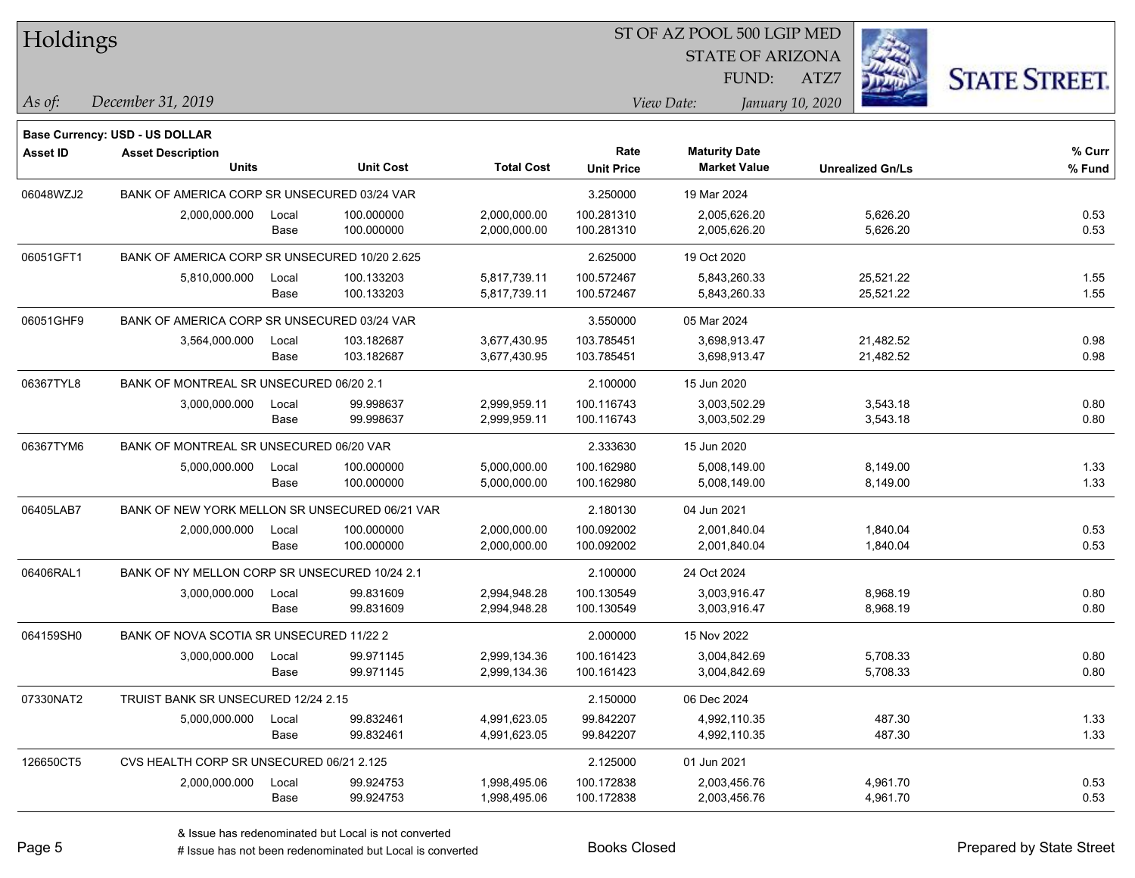| Holdings        |                                                |       |                  |                   | 51 OF AZ POOL 500 LGIP MED |                         |                  |                         |                      |  |
|-----------------|------------------------------------------------|-------|------------------|-------------------|----------------------------|-------------------------|------------------|-------------------------|----------------------|--|
|                 |                                                |       |                  |                   |                            | <b>STATE OF ARIZONA</b> |                  | Ź.                      |                      |  |
|                 |                                                |       |                  |                   |                            | FUND:                   | ATZ7             |                         | <b>STATE STREET.</b> |  |
| As of:          | December 31, 2019                              |       |                  |                   |                            | View Date:              | January 10, 2020 |                         |                      |  |
|                 | <b>Base Currency: USD - US DOLLAR</b>          |       |                  |                   |                            |                         |                  |                         |                      |  |
| <b>Asset ID</b> | <b>Asset Description</b>                       |       |                  |                   | Rate                       | <b>Maturity Date</b>    |                  |                         | % Curr               |  |
|                 | <b>Units</b>                                   |       | <b>Unit Cost</b> | <b>Total Cost</b> | <b>Unit Price</b>          | <b>Market Value</b>     |                  | <b>Unrealized Gn/Ls</b> | % Fund               |  |
| 06048WZJ2       | BANK OF AMERICA CORP SR UNSECURED 03/24 VAR    |       |                  |                   | 3.250000                   | 19 Mar 2024             |                  |                         |                      |  |
|                 | 2,000,000.000                                  | Local | 100.000000       | 2,000,000.00      | 100.281310                 | 2,005,626.20            |                  | 5,626.20                | 0.53                 |  |
|                 |                                                | Base  | 100.000000       | 2,000,000.00      | 100.281310                 | 2,005,626.20            |                  | 5,626.20                | 0.53                 |  |
| 06051GFT1       | BANK OF AMERICA CORP SR UNSECURED 10/20 2.625  |       |                  |                   | 2.625000                   | 19 Oct 2020             |                  |                         |                      |  |
|                 | 5,810,000.000                                  | Local | 100.133203       | 5,817,739.11      | 100.572467                 | 5,843,260.33            |                  | 25,521.22               | 1.55                 |  |
|                 |                                                | Base  | 100.133203       | 5,817,739.11      | 100.572467                 | 5,843,260.33            |                  | 25,521.22               | 1.55                 |  |
| 06051GHF9       | BANK OF AMERICA CORP SR UNSECURED 03/24 VAR    |       |                  |                   | 3.550000                   | 05 Mar 2024             |                  |                         |                      |  |
|                 | 3,564,000.000                                  | Local | 103.182687       | 3,677,430.95      | 103.785451                 | 3,698,913.47            |                  | 21,482.52               | 0.98                 |  |
|                 |                                                | Base  | 103.182687       | 3,677,430.95      | 103.785451                 | 3,698,913.47            |                  | 21,482.52               | 0.98                 |  |
| 06367TYL8       | BANK OF MONTREAL SR UNSECURED 06/20 2.1        |       |                  |                   | 2.100000                   | 15 Jun 2020             |                  |                         |                      |  |
|                 | 3,000,000.000                                  | Local | 99.998637        | 2,999,959.11      | 100.116743                 | 3,003,502.29            |                  | 3,543.18                | 0.80                 |  |
|                 |                                                | Base  | 99.998637        | 2,999,959.11      | 100.116743                 | 3,003,502.29            |                  | 3,543.18                | 0.80                 |  |
| 06367TYM6       | BANK OF MONTREAL SR UNSECURED 06/20 VAR        |       |                  |                   | 2.333630                   | 15 Jun 2020             |                  |                         |                      |  |
|                 | 5,000,000.000                                  | Local | 100.000000       | 5,000,000.00      | 100.162980                 | 5,008,149.00            |                  | 8,149.00                | 1.33                 |  |
|                 |                                                | Base  | 100.000000       | 5,000,000.00      | 100.162980                 | 5,008,149.00            |                  | 8,149.00                | 1.33                 |  |
| 06405LAB7       | BANK OF NEW YORK MELLON SR UNSECURED 06/21 VAR |       |                  |                   | 2.180130                   | 04 Jun 2021             |                  |                         |                      |  |
|                 | 2,000,000.000                                  | Local | 100.000000       | 2,000,000.00      | 100.092002                 | 2,001,840.04            |                  | 1,840.04                | 0.53                 |  |
|                 |                                                | Base  | 100.000000       | 2,000,000.00      | 100.092002                 | 2,001,840.04            |                  | 1,840.04                | 0.53                 |  |
| 06406RAL1       | BANK OF NY MELLON CORP SR UNSECURED 10/24 2.1  |       |                  |                   | 2.100000                   | 24 Oct 2024             |                  |                         |                      |  |
|                 | 3,000,000.000                                  | Local | 99.831609        | 2,994,948.28      | 100.130549                 | 3,003,916.47            |                  | 8,968.19                | 0.80                 |  |
|                 |                                                | Base  | 99.831609        | 2,994,948.28      | 100.130549                 | 3,003,916.47            |                  | 8,968.19                | 0.80                 |  |
| 064159SH0       | BANK OF NOVA SCOTIA SR UNSECURED 11/22 2       |       |                  |                   | 2.000000                   | 15 Nov 2022             |                  |                         |                      |  |
|                 | 3,000,000.000                                  | Local | 99.971145        | 2,999,134.36      | 100.161423                 | 3,004,842.69            |                  | 5,708.33                | 0.80                 |  |
|                 |                                                | Base  | 99.971145        | 2,999,134.36      | 100.161423                 | 3,004,842.69            |                  | 5,708.33                | 0.80                 |  |
| 07330NAT2       | TRUIST BANK SR UNSECURED 12/24 2.15            |       |                  |                   | 2.150000                   | 06 Dec 2024             |                  |                         |                      |  |
|                 | 5,000,000.000                                  | Local | 99.832461        | 4,991,623.05      | 99.842207                  | 4,992,110.35            |                  | 487.30                  | 1.33                 |  |
|                 |                                                | Base  | 99.832461        | 4,991,623.05      | 99.842207                  | 4,992,110.35            |                  | 487.30                  | 1.33                 |  |
| 126650CT5       | CVS HEALTH CORP SR UNSECURED 06/21 2.125       |       |                  |                   | 2.125000                   | 01 Jun 2021             |                  |                         |                      |  |
|                 | 2,000,000.000                                  | Local | 99.924753        | 1,998,495.06      | 100.172838                 | 2,003,456.76            |                  | 4,961.70                | 0.53                 |  |
|                 |                                                | Base  | 99.924753        | 1,998,495.06      | 100.172838                 | 2,003,456.76            |                  | 4,961.70                | 0.53                 |  |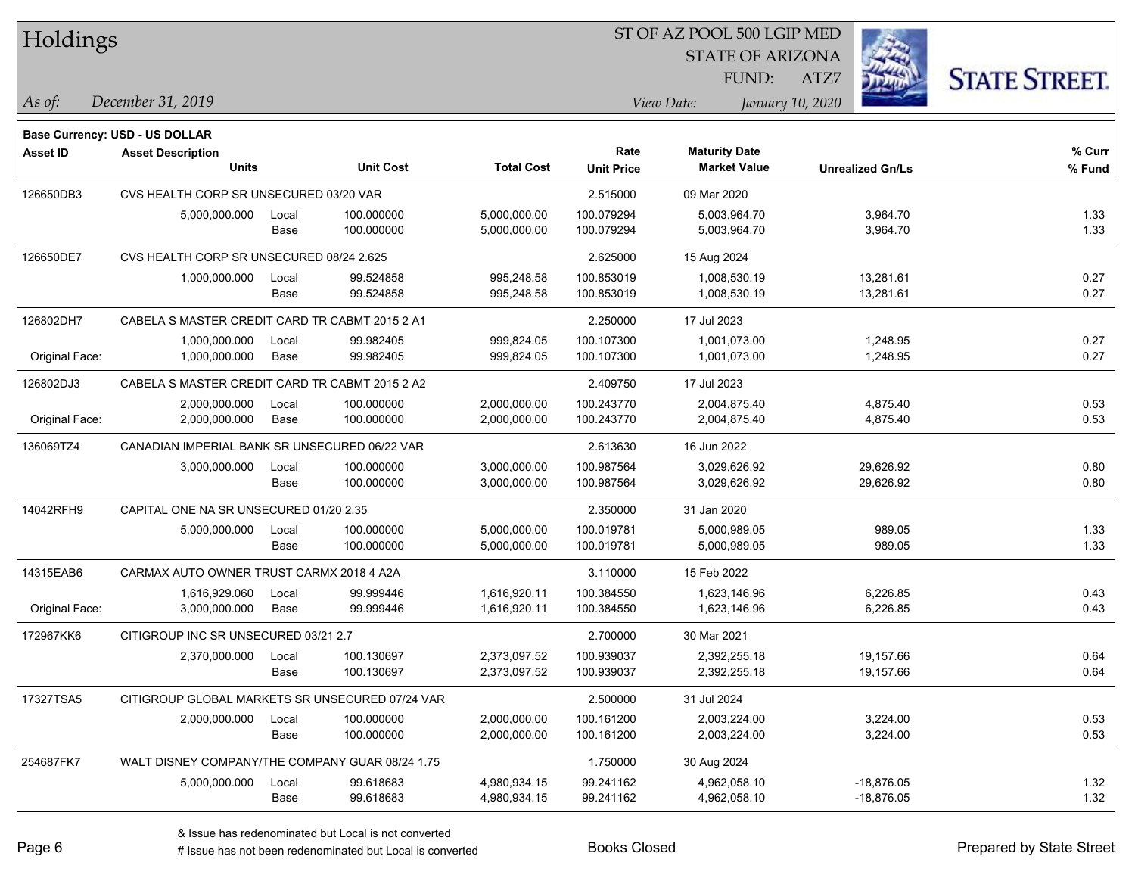| Holdings        |                                                 |       |                  |                   | ST OF AZ POOL 500 LGIP MED |                         |                         |                      |
|-----------------|-------------------------------------------------|-------|------------------|-------------------|----------------------------|-------------------------|-------------------------|----------------------|
|                 |                                                 |       |                  |                   |                            | <b>STATE OF ARIZONA</b> |                         |                      |
|                 |                                                 |       |                  |                   |                            | FUND:                   | ATZ7                    | <b>STATE STREET.</b> |
| $\vert$ As of:  | December 31, 2019                               |       |                  |                   |                            | View Date:              | January 10, 2020        |                      |
|                 | <b>Base Currency: USD - US DOLLAR</b>           |       |                  |                   |                            |                         |                         |                      |
| <b>Asset ID</b> | <b>Asset Description</b>                        |       |                  |                   | Rate                       | <b>Maturity Date</b>    |                         | % Curr               |
|                 | <b>Units</b>                                    |       | <b>Unit Cost</b> | <b>Total Cost</b> | <b>Unit Price</b>          | <b>Market Value</b>     | <b>Unrealized Gn/Ls</b> | % Fund               |
| 126650DB3       | CVS HEALTH CORP SR UNSECURED 03/20 VAR          |       |                  |                   | 2.515000                   | 09 Mar 2020             |                         |                      |
|                 | 5,000,000.000                                   | Local | 100.000000       | 5,000,000.00      | 100.079294                 | 5,003,964.70            | 3,964.70                | 1.33                 |
|                 |                                                 | Base  | 100.000000       | 5,000,000.00      | 100.079294                 | 5,003,964.70            | 3,964.70                | 1.33                 |
| 126650DE7       | CVS HEALTH CORP SR UNSECURED 08/24 2.625        |       |                  |                   | 2.625000                   | 15 Aug 2024             |                         |                      |
|                 | 1,000,000.000                                   | Local | 99.524858        | 995,248.58        | 100.853019                 | 1,008,530.19            | 13,281.61               | 0.27                 |
|                 |                                                 | Base  | 99.524858        | 995,248.58        | 100.853019                 | 1,008,530.19            | 13,281.61               | 0.27                 |
| 126802DH7       | CABELA S MASTER CREDIT CARD TR CABMT 2015 2 A1  |       |                  |                   | 2.250000                   | 17 Jul 2023             |                         |                      |
|                 | 1,000,000.000                                   | Local | 99.982405        | 999,824.05        | 100.107300                 | 1,001,073.00            | 1,248.95                | 0.27                 |
| Original Face:  | 1,000,000.000                                   | Base  | 99.982405        | 999,824.05        | 100.107300                 | 1,001,073.00            | 1,248.95                | 0.27                 |
| 126802DJ3       | CABELA S MASTER CREDIT CARD TR CABMT 2015 2 A2  |       |                  |                   | 2.409750                   | 17 Jul 2023             |                         |                      |
|                 | 2,000,000.000                                   | Local | 100.000000       | 2,000,000.00      | 100.243770                 | 2,004,875.40            | 4,875.40                | 0.53                 |
| Original Face:  | 2,000,000.000                                   | Base  | 100.000000       | 2,000,000.00      | 100.243770                 | 2,004,875.40            | 4,875.40                | 0.53                 |
| 136069TZ4       | CANADIAN IMPERIAL BANK SR UNSECURED 06/22 VAR   |       |                  |                   | 2.613630                   | 16 Jun 2022             |                         |                      |
|                 | 3,000,000.000                                   | Local | 100.000000       | 3,000,000.00      | 100.987564                 | 3,029,626.92            | 29,626.92               | 0.80                 |
|                 |                                                 | Base  | 100.000000       | 3,000,000.00      | 100.987564                 | 3,029,626.92            | 29,626.92               | 0.80                 |
| 14042RFH9       | CAPITAL ONE NA SR UNSECURED 01/20 2.35          |       |                  |                   | 2.350000                   | 31 Jan 2020             |                         |                      |
|                 | 5,000,000.000                                   | Local | 100.000000       | 5,000,000.00      | 100.019781                 | 5,000,989.05            | 989.05                  | 1.33                 |
|                 |                                                 | Base  | 100.000000       | 5,000,000.00      | 100.019781                 | 5,000,989.05            | 989.05                  | 1.33                 |
| 14315EAB6       | CARMAX AUTO OWNER TRUST CARMX 2018 4 A2A        |       |                  |                   | 3.110000                   | 15 Feb 2022             |                         |                      |
|                 | 1,616,929.060                                   | Local | 99.999446        | 1,616,920.11      | 100.384550                 | 1,623,146.96            | 6,226.85                | 0.43                 |
| Original Face:  | 3,000,000.000                                   | Base  | 99.999446        | 1,616,920.11      | 100.384550                 | 1,623,146.96            | 6,226.85                | 0.43                 |
| 172967KK6       | CITIGROUP INC SR UNSECURED 03/21 2.7            |       |                  |                   | 2.700000                   | 30 Mar 2021             |                         |                      |
|                 | 2,370,000.000                                   | Local | 100.130697       | 2,373,097.52      | 100.939037                 | 2,392,255.18            | 19,157.66               | 0.64                 |
|                 |                                                 | Base  | 100.130697       | 2,373,097.52      | 100.939037                 | 2,392,255.18            | 19,157.66               | 0.64                 |
| 17327TSA5       | CITIGROUP GLOBAL MARKETS SR UNSECURED 07/24 VAR |       |                  |                   | 2.500000                   | 31 Jul 2024             |                         |                      |
|                 | 2,000,000.000                                   | Local | 100.000000       | 2,000,000.00      | 100.161200                 | 2,003,224.00            | 3,224.00                | 0.53                 |
|                 |                                                 | Base  | 100.000000       | 2,000,000.00      | 100.161200                 | 2,003,224.00            | 3,224.00                | 0.53                 |
| 254687FK7       | WALT DISNEY COMPANY/THE COMPANY GUAR 08/24 1.75 |       |                  |                   | 1.750000                   | 30 Aug 2024             |                         |                      |
|                 | 5,000,000.000                                   | Local | 99.618683        | 4,980,934.15      | 99.241162                  | 4,962,058.10            | $-18,876.05$            | 1.32                 |
|                 |                                                 | Base  | 99.618683        | 4,980,934.15      | 99.241162                  | 4,962,058.10            | $-18,876.05$            | 1.32                 |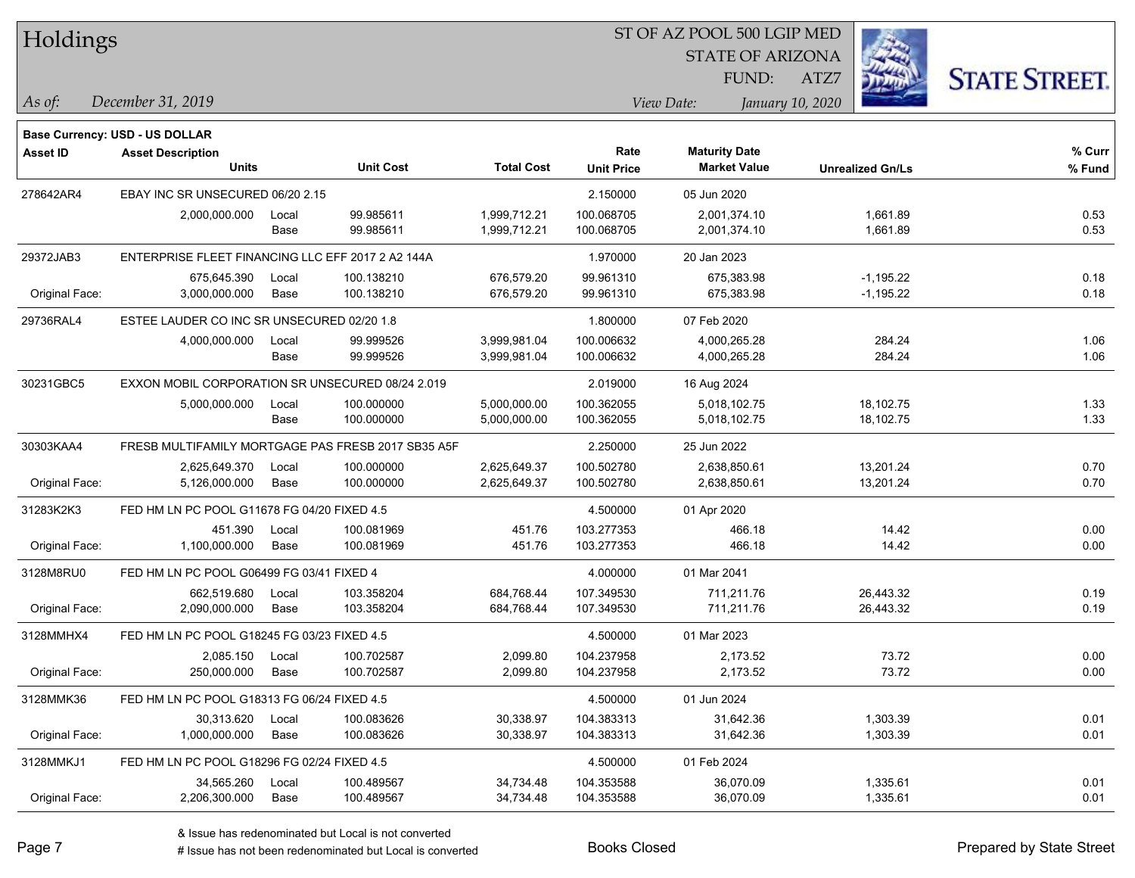|  | Holdings |
|--|----------|
|--|----------|

STATE OF ARIZONA FUND:

ATZ7



*December 31, 2019 As of: View Date: January 10, 2020*

**Base Currency: USD - US DOLLAR**

| Asset ID       | <b>Asset Description</b><br><b>Units</b>          |                                                    | <b>Unit Cost</b>         | <b>Total Cost</b>            | Rate<br><b>Unit Price</b> | <b>Maturity Date</b><br><b>Market Value</b> | <b>Unrealized Gn/Ls</b>    | % Curr<br>% Fund |
|----------------|---------------------------------------------------|----------------------------------------------------|--------------------------|------------------------------|---------------------------|---------------------------------------------|----------------------------|------------------|
| 278642AR4      | EBAY INC SR UNSECURED 06/20 2.15                  |                                                    |                          |                              | 2.150000                  | 05 Jun 2020                                 |                            |                  |
|                | 2,000,000.000                                     | Local<br>Base                                      | 99.985611<br>99.985611   | 1,999,712.21<br>1,999,712.21 | 100.068705<br>100.068705  | 2,001,374.10<br>2,001,374.10                | 1,661.89<br>1.661.89       | 0.53<br>0.53     |
| 29372JAB3      | ENTERPRISE FLEET FINANCING LLC EFF 2017 2 A2 144A |                                                    |                          |                              | 1.970000                  | 20 Jan 2023                                 |                            |                  |
| Original Face: | 675,645.390<br>3,000,000.000                      | Local<br>Base                                      | 100.138210<br>100.138210 | 676,579.20<br>676,579.20     | 99.961310<br>99.961310    | 675,383.98<br>675,383.98                    | $-1,195.22$<br>$-1,195.22$ | 0.18<br>0.18     |
| 29736RAL4      | ESTEE LAUDER CO INC SR UNSECURED 02/20 1.8        |                                                    |                          |                              | 1.800000                  | 07 Feb 2020                                 |                            |                  |
|                | 4,000,000.000                                     | Local<br>Base                                      | 99.999526<br>99.999526   | 3,999,981.04<br>3,999,981.04 | 100.006632<br>100.006632  | 4,000,265.28<br>4,000,265.28                | 284.24<br>284.24           | 1.06<br>1.06     |
| 30231GBC5      |                                                   | EXXON MOBIL CORPORATION SR UNSECURED 08/24 2.019   |                          |                              | 2.019000                  | 16 Aug 2024                                 |                            |                  |
|                | 5,000,000.000                                     | Local<br>Base                                      | 100.000000<br>100.000000 | 5,000,000.00<br>5,000,000.00 | 100.362055<br>100.362055  | 5,018,102.75<br>5,018,102.75                | 18,102.75<br>18,102.75     | 1.33<br>1.33     |
| 30303KAA4      |                                                   | FRESB MULTIFAMILY MORTGAGE PAS FRESB 2017 SB35 A5F |                          | 2.250000                     | 25 Jun 2022               |                                             |                            |                  |
| Original Face: | 2,625,649.370<br>5,126,000.000                    | Local<br>Base                                      | 100.000000<br>100.000000 | 2,625,649.37<br>2,625,649.37 | 100.502780<br>100.502780  | 2,638,850.61<br>2,638,850.61                | 13,201.24<br>13,201.24     | 0.70<br>0.70     |
| 31283K2K3      | FED HM LN PC POOL G11678 FG 04/20 FIXED 4.5       |                                                    |                          |                              | 4.500000                  | 01 Apr 2020                                 |                            |                  |
| Original Face: | 451.390<br>1,100,000.000                          | Local<br>Base                                      | 100.081969<br>100.081969 | 451.76<br>451.76             | 103.277353<br>103.277353  | 466.18<br>466.18                            | 14.42<br>14.42             | 0.00<br>0.00     |
| 3128M8RU0      | FED HM LN PC POOL G06499 FG 03/41 FIXED 4         |                                                    |                          |                              | 4.000000                  | 01 Mar 2041                                 |                            |                  |
| Original Face: | 662,519.680<br>2,090,000.000                      | Local<br>Base                                      | 103.358204<br>103.358204 | 684,768.44<br>684,768.44     | 107.349530<br>107.349530  | 711,211.76<br>711,211.76                    | 26,443.32<br>26,443.32     | 0.19<br>0.19     |
| 3128MMHX4      | FED HM LN PC POOL G18245 FG 03/23 FIXED 4.5       |                                                    |                          |                              | 4.500000                  | 01 Mar 2023                                 |                            |                  |
| Original Face: | 2,085.150<br>250,000.000                          | Local<br>Base                                      | 100.702587<br>100.702587 | 2,099.80<br>2,099.80         | 104.237958<br>104.237958  | 2,173.52<br>2,173.52                        | 73.72<br>73.72             | 0.00<br>0.00     |
| 3128MMK36      | FED HM LN PC POOL G18313 FG 06/24 FIXED 4.5       |                                                    |                          |                              | 4.500000                  | 01 Jun 2024                                 |                            |                  |
| Original Face: | 30,313.620<br>1,000,000.000                       | Local<br>Base                                      | 100.083626<br>100.083626 | 30,338.97<br>30,338.97       | 104.383313<br>104.383313  | 31,642.36<br>31,642.36                      | 1,303.39<br>1,303.39       | 0.01<br>0.01     |
| 3128MMKJ1      | FED HM LN PC POOL G18296 FG 02/24 FIXED 4.5       |                                                    |                          |                              | 4.500000                  | 01 Feb 2024                                 |                            |                  |
| Original Face: | 34,565.260<br>2,206,300.000                       | Local<br>Base                                      | 100.489567<br>100.489567 | 34,734.48<br>34,734.48       | 104.353588<br>104.353588  | 36,070.09<br>36,070.09                      | 1,335.61<br>1,335.61       | 0.01<br>0.01     |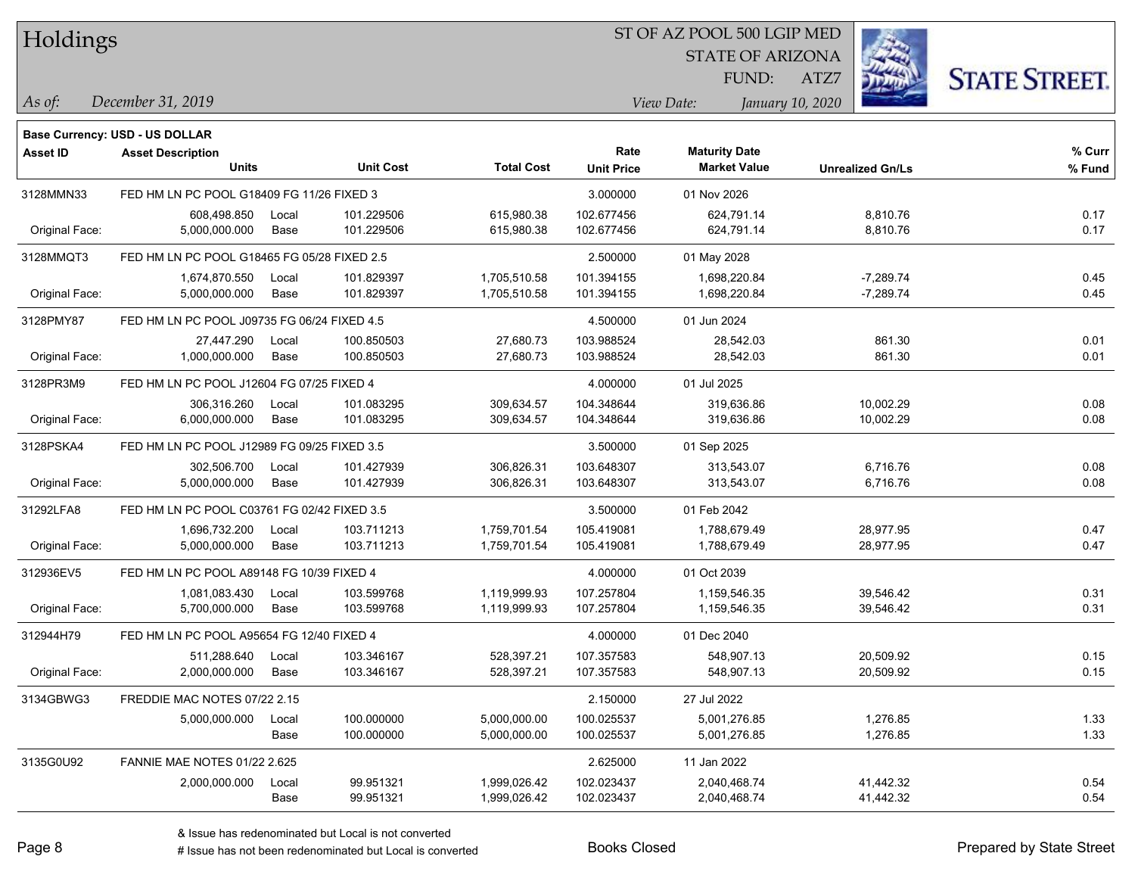| Holdings |  |  |
|----------|--|--|
|          |  |  |

STATE OF ARIZONA

ATZ7



*December 31, 2019 As of: View Date: January 10, 2020*

**Base Currency: USD - US DOLLAR**

FUND:

| <b>Asset ID</b> | <b>Asset Description</b><br><b>Units</b>    |       | <b>Unit Cost</b> | <b>Total Cost</b> | Rate<br><b>Unit Price</b> | <b>Maturity Date</b><br><b>Market Value</b> | <b>Unrealized Gn/Ls</b> | % Curr<br>% Fund |
|-----------------|---------------------------------------------|-------|------------------|-------------------|---------------------------|---------------------------------------------|-------------------------|------------------|
| 3128MMN33       | FED HM LN PC POOL G18409 FG 11/26 FIXED 3   |       |                  |                   | 3.000000                  | 01 Nov 2026                                 |                         |                  |
|                 | 608,498.850                                 | Local | 101.229506       | 615,980.38        | 102.677456                | 624.791.14                                  | 8,810.76                | 0.17             |
| Original Face:  | 5,000,000.000                               | Base  | 101.229506       | 615,980.38        | 102.677456                | 624,791.14                                  | 8,810.76                | 0.17             |
| 3128MMQT3       | FED HM LN PC POOL G18465 FG 05/28 FIXED 2.5 |       |                  |                   | 2.500000                  | 01 May 2028                                 |                         |                  |
|                 | 1,674,870.550                               | Local | 101.829397       | 1,705,510.58      | 101.394155                | 1,698,220.84                                | $-7,289.74$             | 0.45             |
| Original Face:  | 5,000,000.000                               | Base  | 101.829397       | 1,705,510.58      | 101.394155                | 1,698,220.84                                | $-7,289.74$             | 0.45             |
| 3128PMY87       | FED HM LN PC POOL J09735 FG 06/24 FIXED 4.5 |       |                  |                   | 4.500000                  | 01 Jun 2024                                 |                         |                  |
|                 | 27,447.290                                  | Local | 100.850503       | 27,680.73         | 103.988524                | 28,542.03                                   | 861.30                  | 0.01             |
| Original Face:  | 1,000,000.000                               | Base  | 100.850503       | 27,680.73         | 103.988524                | 28,542.03                                   | 861.30                  | 0.01             |
| 3128PR3M9       | FED HM LN PC POOL J12604 FG 07/25 FIXED 4   |       |                  |                   | 4.000000                  | 01 Jul 2025                                 |                         |                  |
|                 | 306,316.260                                 | Local | 101.083295       | 309,634.57        | 104.348644                | 319,636.86                                  | 10,002.29               | 0.08             |
| Original Face:  | 6,000,000.000                               | Base  | 101.083295       | 309,634.57        | 104.348644                | 319,636.86                                  | 10,002.29               | 0.08             |
| 3128PSKA4       | FED HM LN PC POOL J12989 FG 09/25 FIXED 3.5 |       |                  |                   | 3.500000                  | 01 Sep 2025                                 |                         |                  |
|                 | 302,506.700                                 | Local | 101.427939       | 306,826.31        | 103.648307                | 313,543.07                                  | 6,716.76                | 0.08             |
| Original Face:  | 5,000,000.000                               | Base  | 101.427939       | 306,826.31        | 103.648307                | 313,543.07                                  | 6,716.76                | 0.08             |
| 31292LFA8       | FED HM LN PC POOL C03761 FG 02/42 FIXED 3.5 |       |                  |                   | 3.500000                  | 01 Feb 2042                                 |                         |                  |
|                 | 1,696,732.200                               | Local | 103.711213       | 1,759,701.54      | 105.419081                | 1,788,679.49                                | 28,977.95               | 0.47             |
| Original Face:  | 5,000,000.000                               | Base  | 103.711213       | 1,759,701.54      | 105.419081                | 1,788,679.49                                | 28,977.95               | 0.47             |
| 312936EV5       | FED HM LN PC POOL A89148 FG 10/39 FIXED 4   |       |                  |                   | 4.000000                  | 01 Oct 2039                                 |                         |                  |
|                 | 1,081,083.430                               | Local | 103.599768       | 1,119,999.93      | 107.257804                | 1,159,546.35                                | 39,546.42               | 0.31             |
| Original Face:  | 5,700,000.000                               | Base  | 103.599768       | 1,119,999.93      | 107.257804                | 1,159,546.35                                | 39,546.42               | 0.31             |
| 312944H79       | FED HM LN PC POOL A95654 FG 12/40 FIXED 4   |       |                  |                   | 4.000000                  | 01 Dec 2040                                 |                         |                  |
|                 | 511,288.640                                 | Local | 103.346167       | 528,397.21        | 107.357583                | 548,907.13                                  | 20,509.92               | 0.15             |
| Original Face:  | 2,000,000.000                               | Base  | 103.346167       | 528,397.21        | 107.357583                | 548,907.13                                  | 20,509.92               | 0.15             |
| 3134GBWG3       | FREDDIE MAC NOTES 07/22 2.15                |       |                  |                   | 2.150000                  | 27 Jul 2022                                 |                         |                  |
|                 | 5,000,000.000                               | Local | 100.000000       | 5,000,000.00      | 100.025537                | 5,001,276.85                                | 1,276.85                | 1.33             |
|                 |                                             | Base  | 100.000000       | 5,000,000.00      | 100.025537                | 5,001,276.85                                | 1,276.85                | 1.33             |
| 3135G0U92       | <b>FANNIE MAE NOTES 01/22 2.625</b>         |       |                  |                   | 2.625000                  | 11 Jan 2022                                 |                         |                  |
|                 | 2,000,000.000                               | Local | 99.951321        | 1,999,026.42      | 102.023437                | 2,040,468.74                                | 41,442.32               | 0.54             |
|                 |                                             | Base  | 99.951321        | 1,999,026.42      | 102.023437                | 2,040,468.74                                | 41,442.32               | 0.54             |

A ISSUE ISSUE ISSUE ISSUE ISSUE ISSUE ISSUE ISSUE ISSUE ISSUE ISSUE ISSUE ISSUE ISSUE ISSUE ISSUE ISSUE ISSUE I<br>
# Issue has not been redenominated but Local is converted **BOOKS** Closed **Prepared by State Street**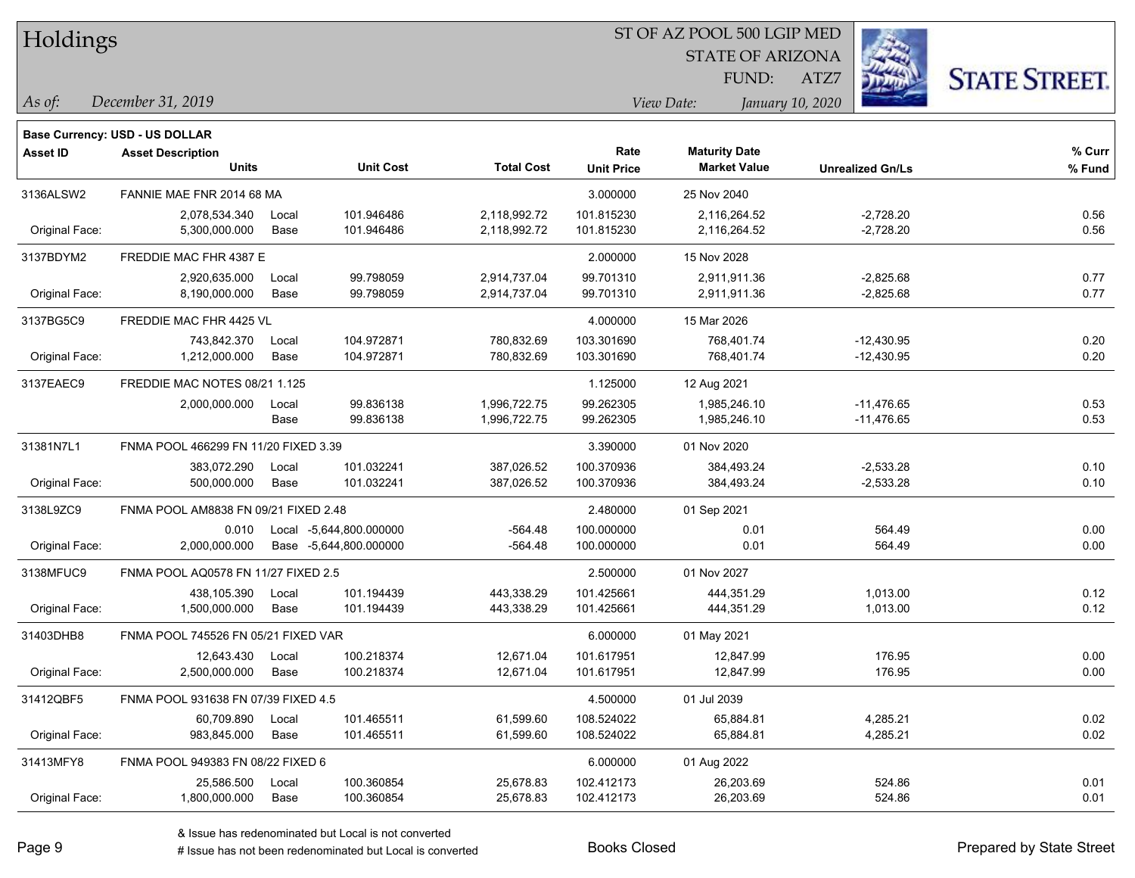| Holdings        |                                       |       |                         |                   | ST OF AZ POOL 500 LGIP MED |                         |                         |                      |  |  |  |
|-----------------|---------------------------------------|-------|-------------------------|-------------------|----------------------------|-------------------------|-------------------------|----------------------|--|--|--|
|                 |                                       |       |                         |                   |                            | <b>STATE OF ARIZONA</b> |                         |                      |  |  |  |
|                 |                                       |       |                         |                   |                            | FUND:                   | ATZ7                    | <b>STATE STREET.</b> |  |  |  |
| $\vert$ As of:  | December 31, 2019                     |       |                         |                   |                            | View Date:              | January 10, 2020        |                      |  |  |  |
|                 | <b>Base Currency: USD - US DOLLAR</b> |       |                         |                   |                            |                         |                         |                      |  |  |  |
| <b>Asset ID</b> | <b>Asset Description</b>              |       |                         |                   | Rate                       | <b>Maturity Date</b>    |                         | % Curr               |  |  |  |
|                 | <b>Units</b>                          |       | <b>Unit Cost</b>        | <b>Total Cost</b> | <b>Unit Price</b>          | <b>Market Value</b>     | <b>Unrealized Gn/Ls</b> | % Fund               |  |  |  |
| 3136ALSW2       | FANNIE MAE FNR 2014 68 MA             |       |                         |                   | 3.000000                   | 25 Nov 2040             |                         |                      |  |  |  |
|                 | 2,078,534.340                         | Local | 101.946486              | 2,118,992.72      | 101.815230                 | 2,116,264.52            | $-2,728.20$             | 0.56                 |  |  |  |
| Original Face:  | 5,300,000.000                         | Base  | 101.946486              | 2,118,992.72      | 101.815230                 | 2,116,264.52            | $-2,728.20$             | 0.56                 |  |  |  |
| 3137BDYM2       | FREDDIE MAC FHR 4387 E                |       |                         |                   | 2.000000                   | 15 Nov 2028             |                         |                      |  |  |  |
|                 | 2,920,635.000                         | Local | 99.798059               | 2,914,737.04      | 99.701310                  | 2,911,911.36            | $-2,825.68$             | 0.77                 |  |  |  |
| Original Face:  | 8,190,000.000                         | Base  | 99.798059               | 2,914,737.04      | 99.701310                  | 2,911,911.36            | $-2,825.68$             | 0.77                 |  |  |  |
| 3137BG5C9       | FREDDIE MAC FHR 4425 VL               |       |                         |                   | 4.000000                   | 15 Mar 2026             |                         |                      |  |  |  |
|                 | 743,842.370                           | Local | 104.972871              | 780,832.69        | 103.301690                 | 768,401.74              | $-12,430.95$            | 0.20                 |  |  |  |
| Original Face:  | 1,212,000.000                         | Base  | 104.972871              | 780,832.69        | 103.301690                 | 768,401.74              | $-12,430.95$            | 0.20                 |  |  |  |
| 3137EAEC9       | FREDDIE MAC NOTES 08/21 1.125         |       |                         |                   | 1.125000                   | 12 Aug 2021             |                         |                      |  |  |  |
|                 | 2,000,000.000                         | Local | 99.836138               | 1,996,722.75      | 99.262305                  | 1,985,246.10            | $-11,476.65$            | 0.53                 |  |  |  |
|                 |                                       | Base  | 99.836138               | 1,996,722.75      | 99.262305                  | 1,985,246.10            | $-11,476.65$            | 0.53                 |  |  |  |
| 31381N7L1       | FNMA POOL 466299 FN 11/20 FIXED 3.39  |       |                         |                   | 3.390000                   | 01 Nov 2020             |                         |                      |  |  |  |
|                 | 383,072.290                           | Local | 101.032241              | 387,026.52        | 100.370936                 | 384,493.24              | $-2,533.28$             | 0.10                 |  |  |  |
| Original Face:  | 500,000.000                           | Base  | 101.032241              | 387,026.52        | 100.370936                 | 384,493.24              | $-2,533.28$             | 0.10                 |  |  |  |
| 3138L9ZC9       | FNMA POOL AM8838 FN 09/21 FIXED 2.48  |       |                         |                   | 2.480000                   | 01 Sep 2021             |                         |                      |  |  |  |
|                 | 0.010                                 |       | Local -5,644,800.000000 | $-564.48$         | 100.000000                 | 0.01                    | 564.49                  | 0.00                 |  |  |  |
| Original Face:  | 2,000,000.000                         |       | Base -5,644,800.000000  | -564.48           | 100.000000                 | 0.01                    | 564.49                  | 0.00                 |  |  |  |
| 3138MFUC9       | FNMA POOL AQ0578 FN 11/27 FIXED 2.5   |       |                         |                   | 2.500000                   | 01 Nov 2027             |                         |                      |  |  |  |
|                 | 438,105.390                           | Local | 101.194439              | 443,338.29        | 101.425661                 | 444,351.29              | 1,013.00                | 0.12                 |  |  |  |
| Original Face:  | 1,500,000.000                         | Base  | 101.194439              | 443,338.29        | 101.425661                 | 444,351.29              | 1,013.00                | 0.12                 |  |  |  |
| 31403DHB8       | FNMA POOL 745526 FN 05/21 FIXED VAR   |       |                         |                   | 6.000000                   | 01 May 2021             |                         |                      |  |  |  |
|                 | 12,643.430                            | Local | 100.218374              | 12,671.04         | 101.617951                 | 12,847.99               | 176.95                  | 0.00                 |  |  |  |
| Original Face:  | 2,500,000.000                         | Base  | 100.218374              | 12,671.04         | 101.617951                 | 12,847.99               | 176.95                  | 0.00                 |  |  |  |
| 31412QBF5       | FNMA POOL 931638 FN 07/39 FIXED 4.5   |       |                         |                   | 4.500000                   | 01 Jul 2039             |                         |                      |  |  |  |
|                 | 60,709.890                            | Local | 101.465511              | 61,599.60         | 108.524022                 | 65,884.81               | 4,285.21                | 0.02                 |  |  |  |
| Original Face:  | 983,845.000                           | Base  | 101.465511              | 61,599.60         | 108.524022                 | 65,884.81               | 4,285.21                | 0.02                 |  |  |  |
| 31413MFY8       | FNMA POOL 949383 FN 08/22 FIXED 6     |       |                         |                   | 6.000000                   | 01 Aug 2022             |                         |                      |  |  |  |
|                 | 25,586.500                            | Local | 100.360854              | 25,678.83         | 102.412173                 | 26,203.69               | 524.86                  | 0.01                 |  |  |  |
| Original Face:  | 1,800,000.000                         | Base  | 100.360854              | 25,678.83         | 102.412173                 | 26,203.69               | 524.86                  | 0.01                 |  |  |  |

denote the redenominated but Local is converted Books Closed Prepared by State Street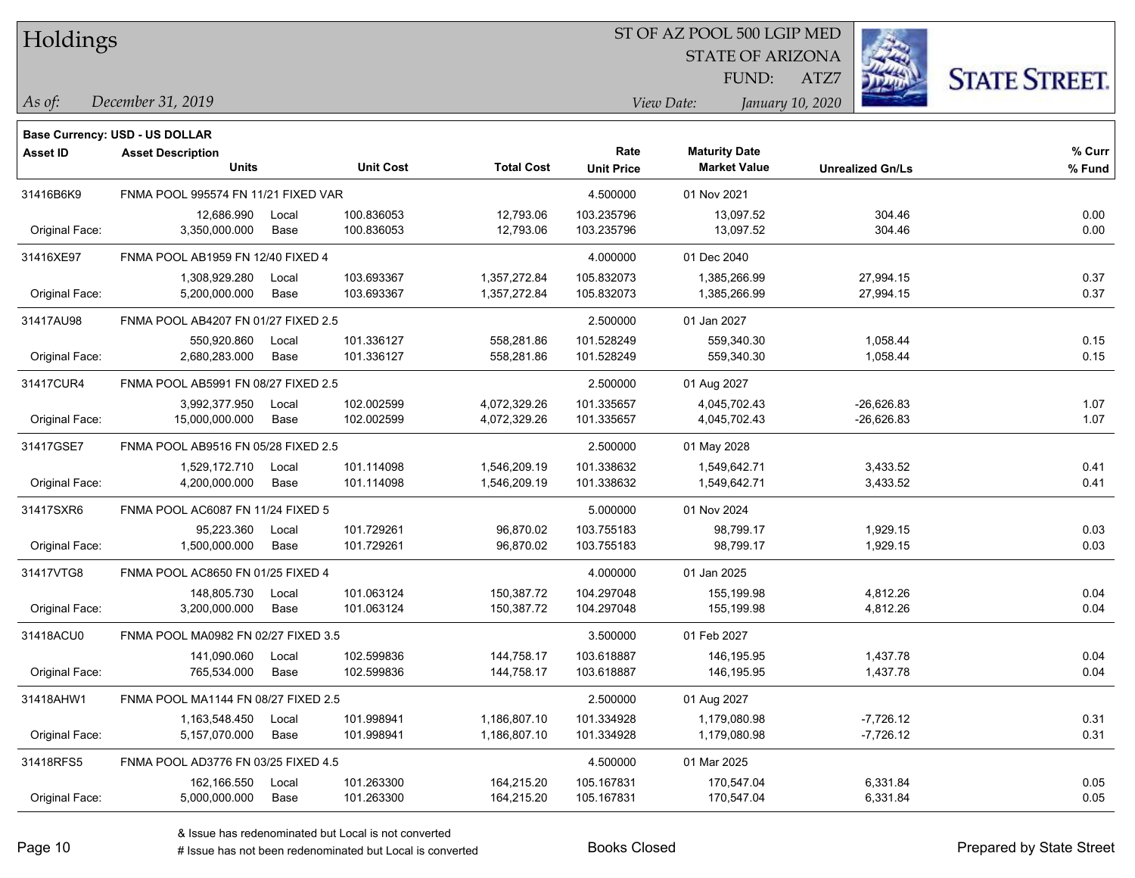|  | Holdings |
|--|----------|
|--|----------|

STATE OF ARIZONA

ATZ7



*December 31, 2019 As of: View Date: January 10, 2020*

**Base Currency: USD - US DOLLAR**

FUND:

| <b>Asset ID</b> | <b>Asset Description</b>            |       |                  |                   | Rate              | <b>Maturity Date</b> |                         | % Curr |
|-----------------|-------------------------------------|-------|------------------|-------------------|-------------------|----------------------|-------------------------|--------|
|                 | <b>Units</b>                        |       | <b>Unit Cost</b> | <b>Total Cost</b> | <b>Unit Price</b> | <b>Market Value</b>  | <b>Unrealized Gn/Ls</b> | % Fund |
| 31416B6K9       | FNMA POOL 995574 FN 11/21 FIXED VAR |       |                  |                   | 4.500000          | 01 Nov 2021          |                         |        |
|                 | 12,686.990                          | Local | 100.836053       | 12,793.06         | 103.235796        | 13,097.52            | 304.46                  | 0.00   |
| Original Face:  | 3,350,000.000                       | Base  | 100.836053       | 12,793.06         | 103.235796        | 13,097.52            | 304.46                  | 0.00   |
| 31416XE97       | FNMA POOL AB1959 FN 12/40 FIXED 4   |       |                  |                   | 4.000000          | 01 Dec 2040          |                         |        |
|                 | 1,308,929.280                       | Local | 103.693367       | 1,357,272.84      | 105.832073        | 1,385,266.99         | 27,994.15               | 0.37   |
| Original Face:  | 5,200,000.000                       | Base  | 103.693367       | 1,357,272.84      | 105.832073        | 1,385,266.99         | 27,994.15               | 0.37   |
| 31417AU98       | FNMA POOL AB4207 FN 01/27 FIXED 2.5 |       |                  |                   | 2.500000          | 01 Jan 2027          |                         |        |
|                 | 550,920.860                         | Local | 101.336127       | 558,281.86        | 101.528249        | 559,340.30           | 1,058.44                | 0.15   |
| Original Face:  | 2,680,283.000                       | Base  | 101.336127       | 558,281.86        | 101.528249        | 559,340.30           | 1,058.44                | 0.15   |
| 31417CUR4       | FNMA POOL AB5991 FN 08/27 FIXED 2.5 |       |                  |                   | 2.500000          | 01 Aug 2027          |                         |        |
|                 | 3,992,377.950                       | Local | 102.002599       | 4,072,329.26      | 101.335657        | 4,045,702.43         | $-26,626.83$            | 1.07   |
| Original Face:  | 15,000,000.000                      | Base  | 102.002599       | 4,072,329.26      | 101.335657        | 4,045,702.43         | $-26,626.83$            | 1.07   |
| 31417GSE7       | FNMA POOL AB9516 FN 05/28 FIXED 2.5 |       |                  |                   | 2.500000          | 01 May 2028          |                         |        |
|                 | 1,529,172.710                       | Local | 101.114098       | 1,546,209.19      | 101.338632        | 1,549,642.71         | 3,433.52                | 0.41   |
| Original Face:  | 4,200,000.000                       | Base  | 101.114098       | 1,546,209.19      | 101.338632        | 1,549,642.71         | 3,433.52                | 0.41   |
| 31417SXR6       | FNMA POOL AC6087 FN 11/24 FIXED 5   |       |                  |                   | 5.000000          | 01 Nov 2024          |                         |        |
|                 | 95,223.360                          | Local | 101.729261       | 96,870.02         | 103.755183        | 98,799.17            | 1,929.15                | 0.03   |
| Original Face:  | 1,500,000.000                       | Base  | 101.729261       | 96,870.02         | 103.755183        | 98,799.17            | 1,929.15                | 0.03   |
| 31417VTG8       | FNMA POOL AC8650 FN 01/25 FIXED 4   |       |                  |                   | 4.000000          | 01 Jan 2025          |                         |        |
|                 | 148,805.730                         | Local | 101.063124       | 150,387.72        | 104.297048        | 155,199.98           | 4,812.26                | 0.04   |
| Original Face:  | 3,200,000.000                       | Base  | 101.063124       | 150,387.72        | 104.297048        | 155,199.98           | 4,812.26                | 0.04   |
| 31418ACU0       | FNMA POOL MA0982 FN 02/27 FIXED 3.5 |       |                  |                   | 3.500000          | 01 Feb 2027          |                         |        |
|                 | 141,090.060                         | Local | 102.599836       | 144,758.17        | 103.618887        | 146,195.95           | 1,437.78                | 0.04   |
| Original Face:  | 765,534.000                         | Base  | 102.599836       | 144,758.17        | 103.618887        | 146,195.95           | 1,437.78                | 0.04   |
| 31418AHW1       | FNMA POOL MA1144 FN 08/27 FIXED 2.5 |       |                  |                   | 2.500000          | 01 Aug 2027          |                         |        |
|                 | 1,163,548.450                       | Local | 101.998941       | 1,186,807.10      | 101.334928        | 1,179,080.98         | $-7,726.12$             | 0.31   |
| Original Face:  | 5,157,070.000                       | Base  | 101.998941       | 1,186,807.10      | 101.334928        | 1,179,080.98         | $-7,726.12$             | 0.31   |
| 31418RFS5       | FNMA POOL AD3776 FN 03/25 FIXED 4.5 |       |                  |                   | 4.500000          | 01 Mar 2025          |                         |        |
|                 | 162,166.550                         | Local | 101.263300       | 164,215.20        | 105.167831        | 170,547.04           | 6,331.84                | 0.05   |
| Original Face:  | 5,000,000.000                       | Base  | 101.263300       | 164,215.20        | 105.167831        | 170,547.04           | 6,331.84                | 0.05   |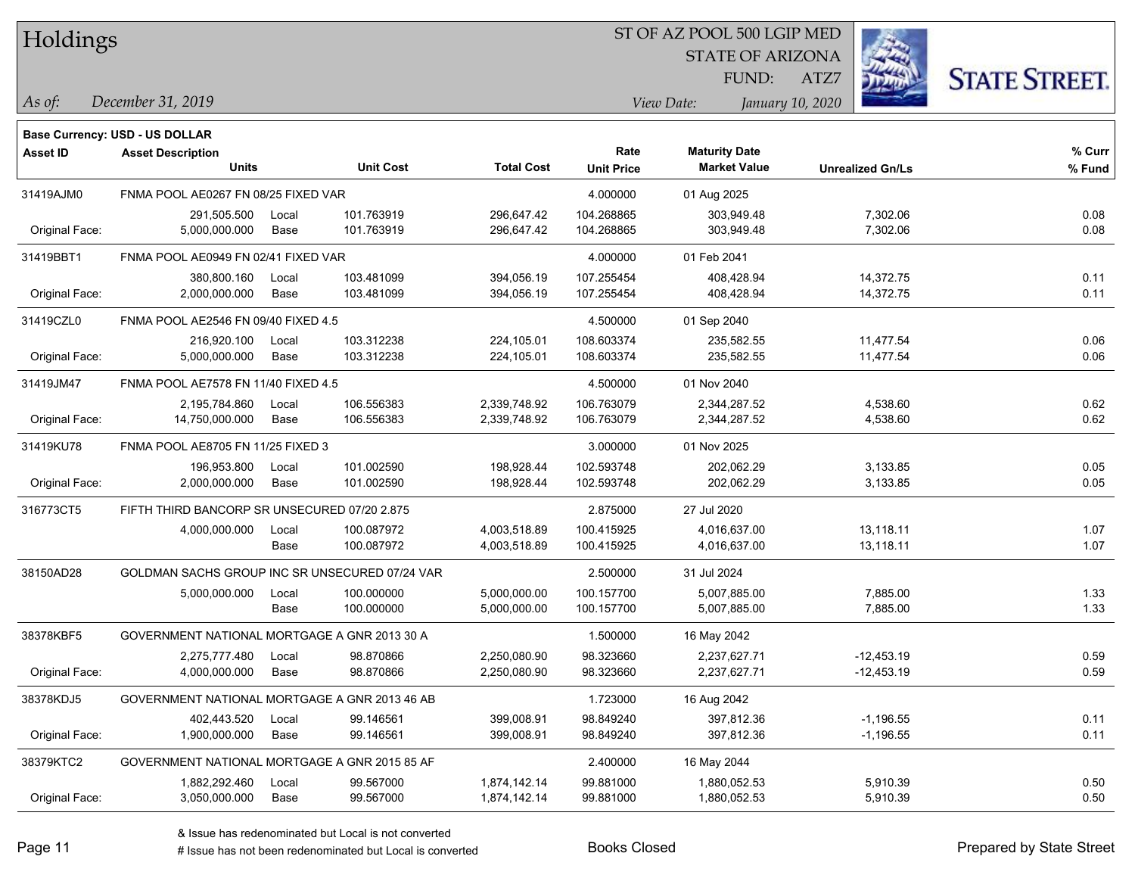| Holdings |  |
|----------|--|
|----------|--|

STATE OF ARIZONA

ATZ7



*December 31, 2019 As of: View Date: January 10, 2020*

**Base Currency: USD - US DOLLAR**

FUND:

| <b>Asset ID</b> | <b>Asset Description</b><br><b>Units</b>       |       | <b>Unit Cost</b> | <b>Total Cost</b> | Rate<br><b>Unit Price</b> | <b>Maturity Date</b><br><b>Market Value</b> | <b>Unrealized Gn/Ls</b> | % Curr<br>% Fund |
|-----------------|------------------------------------------------|-------|------------------|-------------------|---------------------------|---------------------------------------------|-------------------------|------------------|
| 31419AJM0       | FNMA POOL AE0267 FN 08/25 FIXED VAR            |       |                  |                   | 4.000000                  | 01 Aug 2025                                 |                         |                  |
|                 | 291,505.500                                    | Local | 101.763919       | 296,647.42        | 104.268865                | 303,949.48                                  | 7,302.06                | 0.08             |
| Original Face:  | 5,000,000.000                                  | Base  | 101.763919       | 296,647.42        | 104.268865                | 303,949.48                                  | 7,302.06                | 0.08             |
| 31419BBT1       | FNMA POOL AE0949 FN 02/41 FIXED VAR            |       |                  |                   | 4.000000                  | 01 Feb 2041                                 |                         |                  |
|                 | 380,800.160                                    | Local | 103.481099       | 394,056.19        | 107.255454                | 408,428.94                                  | 14,372.75               | 0.11             |
| Original Face:  | 2,000,000.000                                  | Base  | 103.481099       | 394,056.19        | 107.255454                | 408,428.94                                  | 14,372.75               | 0.11             |
| 31419CZL0       | FNMA POOL AE2546 FN 09/40 FIXED 4.5            |       |                  |                   | 4.500000                  | 01 Sep 2040                                 |                         |                  |
|                 | 216,920.100                                    | Local | 103.312238       | 224,105.01        | 108.603374                | 235,582.55                                  | 11,477.54               | 0.06             |
| Original Face:  | 5,000,000.000                                  | Base  | 103.312238       | 224,105.01        | 108.603374                | 235,582.55                                  | 11,477.54               | 0.06             |
| 31419JM47       | FNMA POOL AE7578 FN 11/40 FIXED 4.5            |       |                  |                   | 4.500000                  | 01 Nov 2040                                 |                         |                  |
|                 | 2,195,784.860                                  | Local | 106.556383       | 2,339,748.92      | 106.763079                | 2,344,287.52                                | 4,538.60                | 0.62             |
| Original Face:  | 14,750,000.000                                 | Base  | 106.556383       | 2,339,748.92      | 106.763079                | 2,344,287.52                                | 4,538.60                | 0.62             |
| 31419KU78       | FNMA POOL AE8705 FN 11/25 FIXED 3              |       |                  |                   | 3.000000                  | 01 Nov 2025                                 |                         |                  |
|                 | 196,953.800                                    | Local | 101.002590       | 198,928.44        | 102.593748                | 202,062.29                                  | 3,133.85                | 0.05             |
| Original Face:  | 2,000,000.000                                  | Base  | 101.002590       | 198,928.44        | 102.593748                | 202,062.29                                  | 3,133.85                | 0.05             |
| 316773CT5       | FIFTH THIRD BANCORP SR UNSECURED 07/20 2.875   |       |                  |                   | 2.875000                  | 27 Jul 2020                                 |                         |                  |
|                 | 4,000,000.000                                  | Local | 100.087972       | 4,003,518.89      | 100.415925                | 4,016,637.00                                | 13,118.11               | 1.07             |
|                 |                                                | Base  | 100.087972       | 4,003,518.89      | 100.415925                | 4,016,637.00                                | 13,118.11               | 1.07             |
| 38150AD28       | GOLDMAN SACHS GROUP INC SR UNSECURED 07/24 VAR |       |                  |                   | 2.500000                  | 31 Jul 2024                                 |                         |                  |
|                 | 5,000,000.000                                  | Local | 100.000000       | 5,000,000.00      | 100.157700                | 5,007,885.00                                | 7,885.00                | 1.33             |
|                 |                                                | Base  | 100.000000       | 5,000,000.00      | 100.157700                | 5,007,885.00                                | 7,885.00                | 1.33             |
| 38378KBF5       | GOVERNMENT NATIONAL MORTGAGE A GNR 2013 30 A   |       |                  |                   | 1.500000                  | 16 May 2042                                 |                         |                  |
|                 | 2,275,777.480                                  | Local | 98.870866        | 2,250,080.90      | 98.323660                 | 2,237,627.71                                | $-12,453.19$            | 0.59             |
| Original Face:  | 4,000,000.000                                  | Base  | 98.870866        | 2,250,080.90      | 98.323660                 | 2,237,627.71                                | $-12,453.19$            | 0.59             |
| 38378KDJ5       | GOVERNMENT NATIONAL MORTGAGE A GNR 2013 46 AB  |       |                  |                   | 1.723000                  | 16 Aug 2042                                 |                         |                  |
|                 | 402,443.520                                    | Local | 99.146561        | 399,008.91        | 98.849240                 | 397,812.36                                  | $-1,196.55$             | 0.11             |
| Original Face:  | 1,900,000.000                                  | Base  | 99.146561        | 399,008.91        | 98.849240                 | 397,812.36                                  | $-1,196.55$             | 0.11             |
| 38379KTC2       | GOVERNMENT NATIONAL MORTGAGE A GNR 2015 85 AF  |       |                  |                   | 2.400000                  | 16 May 2044                                 |                         |                  |
|                 | 1,882,292.460                                  | Local | 99.567000        | 1,874,142.14      | 99.881000                 | 1,880,052.53                                | 5,910.39                | 0.50             |
| Original Face:  | 3,050,000.000                                  | Base  | 99.567000        | 1,874,142.14      | 99.881000                 | 1,880,052.53                                | 5,910.39                | 0.50             |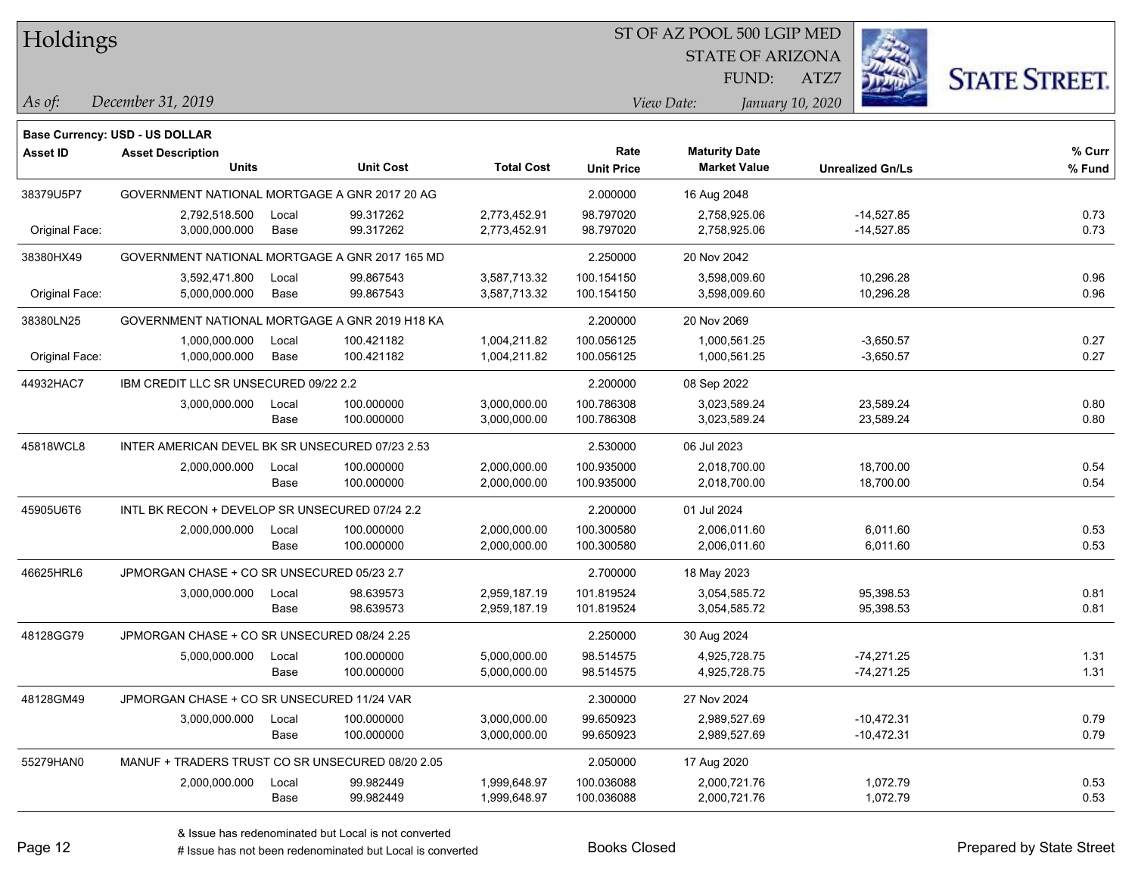| Holdings        |                                                  |       |                  |                   | ST OF AZ POOL 500 LGIP MED |                         |                         |                      |
|-----------------|--------------------------------------------------|-------|------------------|-------------------|----------------------------|-------------------------|-------------------------|----------------------|
|                 |                                                  |       |                  |                   |                            | <b>STATE OF ARIZONA</b> |                         |                      |
|                 |                                                  |       |                  |                   |                            | FUND:                   | ATZ7                    | <b>STATE STREET.</b> |
| As of:          | December 31, 2019                                |       |                  |                   |                            | View Date:              | January 10, 2020        |                      |
|                 | Base Currency: USD - US DOLLAR                   |       |                  |                   |                            |                         |                         |                      |
| <b>Asset ID</b> | <b>Asset Description</b>                         |       |                  |                   | Rate                       | <b>Maturity Date</b>    |                         | $%$ Curr             |
|                 | Units                                            |       | <b>Unit Cost</b> | <b>Total Cost</b> | <b>Unit Price</b>          | <b>Market Value</b>     | <b>Unrealized Gn/Ls</b> | % Fund               |
| 38379U5P7       | GOVERNMENT NATIONAL MORTGAGE A GNR 2017 20 AG    |       |                  |                   | 2.000000                   | 16 Aug 2048             |                         |                      |
|                 | 2,792,518.500                                    | Local | 99.317262        | 2,773,452.91      | 98.797020                  | 2.758.925.06            | $-14,527.85$            | 0.73                 |
| Original Face:  | 3,000,000.000                                    | Base  | 99.317262        | 2,773,452.91      | 98.797020                  | 2,758,925.06            | $-14,527.85$            | 0.73                 |
| 38380HX49       | GOVERNMENT NATIONAL MORTGAGE A GNR 2017 165 MD   |       |                  |                   | 2.250000                   | 20 Nov 2042             |                         |                      |
|                 | 3,592,471.800                                    | Local | 99.867543        | 3,587,713.32      | 100.154150                 | 3,598,009.60            | 10,296.28               | 0.96                 |
| Original Face:  | 5,000,000.000                                    | Base  | 99.867543        | 3,587,713.32      | 100.154150                 | 3,598,009.60            | 10,296.28               | 0.96                 |
| 38380LN25       | GOVERNMENT NATIONAL MORTGAGE A GNR 2019 H18 KA   |       |                  |                   | 2.200000                   | 20 Nov 2069             |                         |                      |
|                 | 1,000,000.000                                    | Local | 100.421182       | 1,004,211.82      | 100.056125                 | 1,000,561.25            | $-3,650.57$             | 0.27                 |
| Original Face:  | 1,000,000.000                                    | Base  | 100.421182       | 1,004,211.82      | 100.056125                 | 1,000,561.25            | $-3,650.57$             | 0.27                 |
| 44932HAC7       | IBM CREDIT LLC SR UNSECURED 09/22 2.2            |       |                  |                   | 2.200000                   | 08 Sep 2022             |                         |                      |
|                 | 3,000,000.000                                    | Local | 100.000000       | 3,000,000.00      | 100.786308                 | 3,023,589.24            | 23,589.24               | 0.80                 |
|                 |                                                  | Base  | 100.000000       | 3,000,000.00      | 100.786308                 | 3,023,589.24            | 23,589.24               | 0.80                 |
| 45818WCL8       | INTER AMERICAN DEVEL BK SR UNSECURED 07/23 2.53  |       |                  |                   | 2.530000                   | 06 Jul 2023             |                         |                      |
|                 | 2,000,000.000                                    | Local | 100.000000       | 2,000,000.00      | 100.935000                 | 2,018,700.00            | 18,700.00               | 0.54                 |
|                 |                                                  | Base  | 100.000000       | 2,000,000.00      | 100.935000                 | 2,018,700.00            | 18,700.00               | 0.54                 |
| 45905U6T6       | INTL BK RECON + DEVELOP SR UNSECURED 07/24 2.2   |       |                  |                   | 2.200000                   | 01 Jul 2024             |                         |                      |
|                 | 2,000,000.000                                    | Local | 100.000000       | 2,000,000.00      | 100.300580                 | 2,006,011.60            | 6,011.60                | 0.53                 |
|                 |                                                  | Base  | 100.000000       | 2,000,000.00      | 100.300580                 | 2,006,011.60            | 6,011.60                | 0.53                 |
| 46625HRL6       | JPMORGAN CHASE + CO SR UNSECURED 05/23 2.7       |       |                  |                   | 2.700000                   | 18 May 2023             |                         |                      |
|                 | 3,000,000.000                                    | Local | 98.639573        | 2,959,187.19      | 101.819524                 | 3,054,585.72            | 95,398.53               | 0.81                 |
|                 |                                                  | Base  | 98.639573        | 2,959,187.19      | 101.819524                 | 3,054,585.72            | 95,398.53               | 0.81                 |
| 48128GG79       | JPMORGAN CHASE + CO SR UNSECURED 08/24 2.25      |       |                  |                   | 2.250000                   | 30 Aug 2024             |                         |                      |
|                 | 5,000,000.000                                    | Local | 100.000000       | 5,000,000.00      | 98.514575                  | 4,925,728.75            | $-74,271.25$            | 1.31                 |
|                 |                                                  | Base  | 100.000000       | 5,000,000.00      | 98.514575                  | 4,925,728.75            | -74,271.25              | 1.31                 |
| 48128GM49       | JPMORGAN CHASE + CO SR UNSECURED 11/24 VAR       |       |                  |                   | 2.300000                   | 27 Nov 2024             |                         |                      |
|                 | 3,000,000.000                                    | Local | 100.000000       | 3,000,000.00      | 99.650923                  | 2,989,527.69            | $-10,472.31$            | 0.79                 |
|                 |                                                  | Base  | 100.000000       | 3,000,000.00      | 99.650923                  | 2,989,527.69            | $-10,472.31$            | 0.79                 |
| 55279HAN0       | MANUF + TRADERS TRUST CO SR UNSECURED 08/20 2.05 |       |                  |                   | 2.050000                   | 17 Aug 2020             |                         |                      |
|                 | 2,000,000.000                                    | Local | 99.982449        | 1,999,648.97      | 100.036088                 | 2,000,721.76            | 1,072.79                | 0.53                 |
|                 |                                                  | Base  | 99.982449        | 1,999,648.97      | 100.036088                 | 2,000,721.76            | 1,072.79                | 0.53                 |

 $\overline{\phantom{0}}$ 

 $\overline{\phantom{0}}$ 

 $\overline{\phantom{0}}$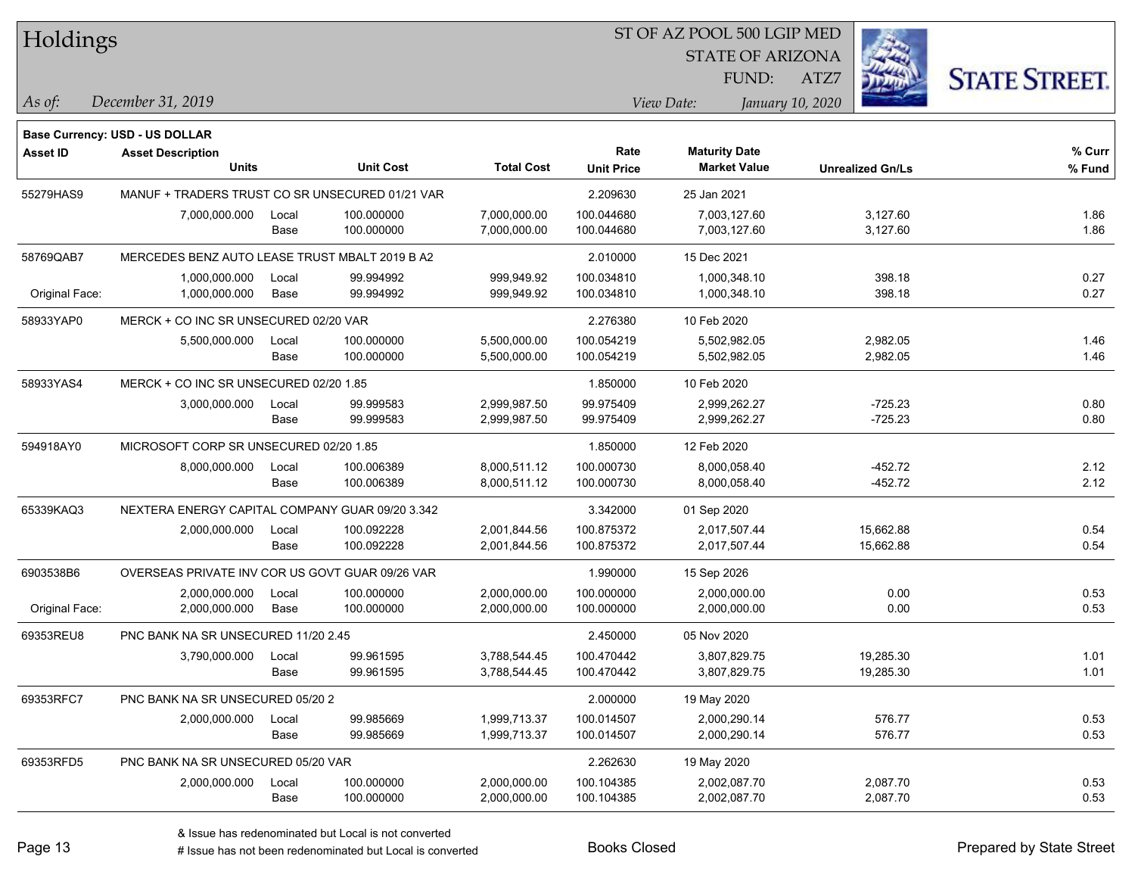| Holdings |
|----------|
|          |

STATE OF ARIZONA FUND:



*December 31, 2019 As of: View Date: January 10, 2020*

**Base Currency: USD - US DOLLAR**

ATZ7

| <b>Asset ID</b> | <b>Asset Description</b>                        |       |                  |                   | Rate              | <b>Maturity Date</b> |                         | % Curr |
|-----------------|-------------------------------------------------|-------|------------------|-------------------|-------------------|----------------------|-------------------------|--------|
|                 | <b>Units</b>                                    |       | <b>Unit Cost</b> | <b>Total Cost</b> | <b>Unit Price</b> | <b>Market Value</b>  | <b>Unrealized Gn/Ls</b> | % Fund |
| 55279HAS9       | MANUF + TRADERS TRUST CO SR UNSECURED 01/21 VAR |       |                  |                   | 2.209630          | 25 Jan 2021          |                         |        |
|                 | 7,000,000.000                                   | Local | 100.000000       | 7,000,000.00      | 100.044680        | 7,003,127.60         | 3,127.60                | 1.86   |
|                 |                                                 | Base  | 100.000000       | 7,000,000.00      | 100.044680        | 7,003,127.60         | 3,127.60                | 1.86   |
| 58769QAB7       | MERCEDES BENZ AUTO LEASE TRUST MBALT 2019 B A2  |       |                  |                   | 2.010000          | 15 Dec 2021          |                         |        |
|                 | 1,000,000.000                                   | Local | 99.994992        | 999,949.92        | 100.034810        | 1,000,348.10         | 398.18                  | 0.27   |
| Original Face:  | 1,000,000.000                                   | Base  | 99.994992        | 999,949.92        | 100.034810        | 1,000,348.10         | 398.18                  | 0.27   |
| 58933YAP0       | MERCK + CO INC SR UNSECURED 02/20 VAR           |       |                  |                   | 2.276380          | 10 Feb 2020          |                         |        |
|                 | 5,500,000.000                                   | Local | 100.000000       | 5,500,000.00      | 100.054219        | 5,502,982.05         | 2,982.05                | 1.46   |
|                 |                                                 | Base  | 100.000000       | 5,500,000.00      | 100.054219        | 5,502,982.05         | 2,982.05                | 1.46   |
| 58933YAS4       | MERCK + CO INC SR UNSECURED 02/20 1.85          |       |                  |                   | 1.850000          | 10 Feb 2020          |                         |        |
|                 | 3,000,000.000                                   | Local | 99.999583        | 2,999,987.50      | 99.975409         | 2,999,262.27         | $-725.23$               | 0.80   |
|                 |                                                 | Base  | 99.999583        | 2,999,987.50      | 99.975409         | 2,999,262.27         | $-725.23$               | 0.80   |
| 594918AY0       | MICROSOFT CORP SR UNSECURED 02/20 1.85          |       |                  |                   | 1.850000          | 12 Feb 2020          |                         |        |
|                 | 8,000,000.000                                   | Local | 100.006389       | 8,000,511.12      | 100.000730        | 8,000,058.40         | $-452.72$               | 2.12   |
|                 |                                                 | Base  | 100.006389       | 8,000,511.12      | 100.000730        | 8,000,058.40         | $-452.72$               | 2.12   |
| 65339KAQ3       | NEXTERA ENERGY CAPITAL COMPANY GUAR 09/20 3.342 |       |                  |                   | 3.342000          | 01 Sep 2020          |                         |        |
|                 | 2,000,000.000                                   | Local | 100.092228       | 2,001,844.56      | 100.875372        | 2,017,507.44         | 15,662.88               | 0.54   |
|                 |                                                 | Base  | 100.092228       | 2,001,844.56      | 100.875372        | 2,017,507.44         | 15,662.88               | 0.54   |
| 6903538B6       | OVERSEAS PRIVATE INV COR US GOVT GUAR 09/26 VAR |       |                  |                   | 1.990000          | 15 Sep 2026          |                         |        |
|                 | 2,000,000.000                                   | Local | 100.000000       | 2,000,000.00      | 100.000000        | 2,000,000.00         | 0.00                    | 0.53   |
| Original Face:  | 2,000,000.000                                   | Base  | 100.000000       | 2,000,000.00      | 100.000000        | 2,000,000.00         | 0.00                    | 0.53   |
| 69353REU8       | PNC BANK NA SR UNSECURED 11/20 2.45             |       |                  |                   | 2.450000          | 05 Nov 2020          |                         |        |
|                 | 3,790,000.000                                   | Local | 99.961595        | 3,788,544.45      | 100.470442        | 3,807,829.75         | 19,285.30               | 1.01   |
|                 |                                                 | Base  | 99.961595        | 3,788,544.45      | 100.470442        | 3,807,829.75         | 19,285.30               | 1.01   |
| 69353RFC7       | PNC BANK NA SR UNSECURED 05/20 2                |       |                  |                   | 2.000000          | 19 May 2020          |                         |        |
|                 | 2,000,000.000                                   | Local | 99.985669        | 1,999,713.37      | 100.014507        | 2,000,290.14         | 576.77                  | 0.53   |
|                 |                                                 | Base  | 99.985669        | 1,999,713.37      | 100.014507        | 2,000,290.14         | 576.77                  | 0.53   |
| 69353RFD5       | PNC BANK NA SR UNSECURED 05/20 VAR              |       |                  |                   | 2.262630          | 19 May 2020          |                         |        |
|                 | 2,000,000.000                                   | Local | 100.000000       | 2,000,000.00      | 100.104385        | 2,002,087.70         | 2,087.70                | 0.53   |
|                 |                                                 | Base  | 100.000000       | 2,000,000.00      | 100.104385        | 2,002,087.70         | 2,087.70                | 0.53   |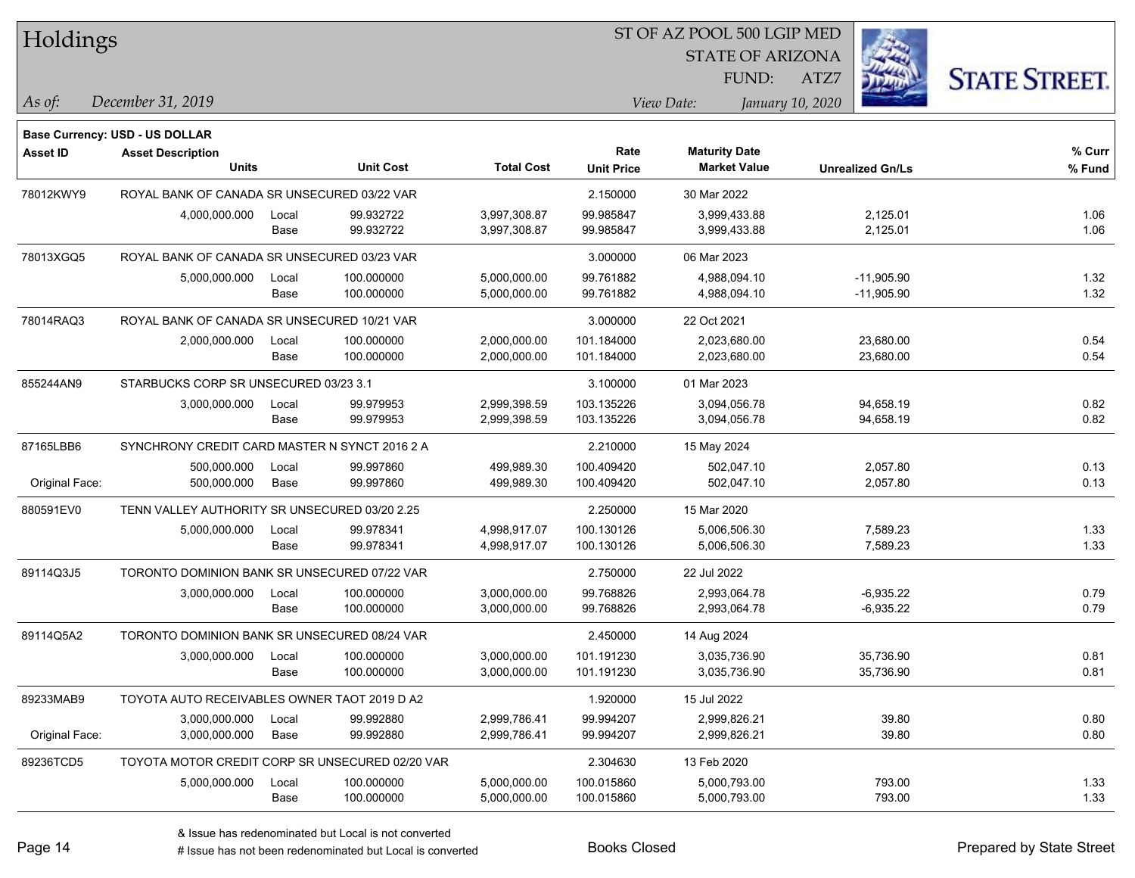| Holdings        |                                                                   |       |                  |                   |                   | ST OF AZ POOL 500 LGIP MED |                  |                         |                      |
|-----------------|-------------------------------------------------------------------|-------|------------------|-------------------|-------------------|----------------------------|------------------|-------------------------|----------------------|
|                 |                                                                   |       |                  |                   |                   | <b>STATE OF ARIZONA</b>    |                  |                         |                      |
|                 |                                                                   |       |                  |                   |                   | FUND:                      | ATZ7             |                         | <b>STATE STREET.</b> |
| As of:          | December 31, 2019                                                 |       |                  |                   |                   | View Date:                 | January 10, 2020 |                         |                      |
|                 |                                                                   |       |                  |                   |                   |                            |                  |                         |                      |
| <b>Asset ID</b> | <b>Base Currency: USD - US DOLLAR</b><br><b>Asset Description</b> |       |                  |                   | Rate              | <b>Maturity Date</b>       |                  |                         | $%$ Curr             |
|                 | <b>Units</b>                                                      |       | <b>Unit Cost</b> | <b>Total Cost</b> | <b>Unit Price</b> | <b>Market Value</b>        |                  | <b>Unrealized Gn/Ls</b> | % Fund               |
| 78012KWY9       | ROYAL BANK OF CANADA SR UNSECURED 03/22 VAR                       |       |                  |                   | 2.150000          | 30 Mar 2022                |                  |                         |                      |
|                 | 4,000,000.000                                                     | Local | 99.932722        | 3,997,308.87      | 99.985847         | 3,999,433.88               |                  | 2,125.01                | 1.06                 |
|                 |                                                                   | Base  | 99.932722        | 3,997,308.87      | 99.985847         | 3,999,433.88               |                  | 2,125.01                | 1.06                 |
| 78013XGQ5       | ROYAL BANK OF CANADA SR UNSECURED 03/23 VAR                       |       |                  |                   | 3.000000          | 06 Mar 2023                |                  |                         |                      |
|                 | 5,000,000.000                                                     | Local | 100.000000       | 5,000,000.00      | 99.761882         | 4,988,094.10               |                  | $-11,905.90$            | 1.32                 |
|                 |                                                                   | Base  | 100.000000       | 5,000,000.00      | 99.761882         | 4,988,094.10               |                  | $-11,905.90$            | 1.32                 |
| 78014RAQ3       | ROYAL BANK OF CANADA SR UNSECURED 10/21 VAR                       |       |                  |                   | 3.000000          | 22 Oct 2021                |                  |                         |                      |
|                 | 2,000,000.000                                                     | Local | 100.000000       | 2,000,000.00      | 101.184000        | 2,023,680.00               |                  | 23,680.00               | 0.54                 |
|                 |                                                                   | Base  | 100.000000       | 2,000,000.00      | 101.184000        | 2,023,680.00               |                  | 23,680.00               | 0.54                 |
| 855244AN9       | STARBUCKS CORP SR UNSECURED 03/23 3.1                             |       |                  |                   | 3.100000          | 01 Mar 2023                |                  |                         |                      |
|                 | 3,000,000.000                                                     | Local | 99.979953        | 2,999,398.59      | 103.135226        | 3,094,056.78               |                  | 94,658.19               | 0.82                 |
|                 |                                                                   | Base  | 99.979953        | 2,999,398.59      | 103.135226        | 3,094,056.78               |                  | 94,658.19               | 0.82                 |
| 87165LBB6       | SYNCHRONY CREDIT CARD MASTER N SYNCT 2016 2 A                     |       |                  |                   | 2.210000          | 15 May 2024                |                  |                         |                      |
|                 | 500,000.000                                                       | Local | 99.997860        | 499,989.30        | 100.409420        | 502,047.10                 |                  | 2,057.80                | 0.13                 |
| Original Face:  | 500,000.000                                                       | Base  | 99.997860        | 499,989.30        | 100.409420        | 502,047.10                 |                  | 2,057.80                | 0.13                 |
| 880591EV0       | TENN VALLEY AUTHORITY SR UNSECURED 03/20 2.25                     |       |                  |                   | 2.250000          | 15 Mar 2020                |                  |                         |                      |
|                 | 5,000,000.000                                                     | Local | 99.978341        | 4,998,917.07      | 100.130126        | 5,006,506.30               |                  | 7,589.23                | 1.33                 |
|                 |                                                                   | Base  | 99.978341        | 4,998,917.07      | 100.130126        | 5,006,506.30               |                  | 7,589.23                | 1.33                 |
| 89114Q3J5       | TORONTO DOMINION BANK SR UNSECURED 07/22 VAR                      |       |                  |                   | 2.750000          | 22 Jul 2022                |                  |                         |                      |
|                 | 3,000,000.000                                                     | Local | 100.000000       | 3,000,000.00      | 99.768826         | 2,993,064.78               |                  | $-6,935.22$             | 0.79                 |
|                 |                                                                   | Base  | 100.000000       | 3,000,000.00      | 99.768826         | 2,993,064.78               |                  | $-6,935.22$             | 0.79                 |
| 89114Q5A2       | TORONTO DOMINION BANK SR UNSECURED 08/24 VAR                      |       |                  |                   | 2.450000          | 14 Aug 2024                |                  |                         |                      |
|                 | 3,000,000.000                                                     | Local | 100.000000       | 3,000,000.00      | 101.191230        | 3,035,736.90               |                  | 35,736.90               | 0.81                 |
|                 |                                                                   | Base  | 100.000000       | 3,000,000.00      | 101.191230        | 3,035,736.90               |                  | 35,736.90               | 0.81                 |
| 89233MAB9       | TOYOTA AUTO RECEIVABLES OWNER TAOT 2019 D A2                      |       |                  |                   | 1.920000          | 15 Jul 2022                |                  |                         |                      |
|                 | 3,000,000.000                                                     | Local | 99.992880        | 2,999,786.41      | 99.994207         | 2,999,826.21               |                  | 39.80                   | 0.80                 |
| Original Face:  | 3,000,000.000                                                     | Base  | 99.992880        | 2,999,786.41      | 99.994207         | 2,999,826.21               |                  | 39.80                   | 0.80                 |
| 89236TCD5       | TOYOTA MOTOR CREDIT CORP SR UNSECURED 02/20 VAR                   |       |                  |                   | 2.304630          | 13 Feb 2020                |                  |                         |                      |
|                 | 5,000,000.000                                                     | Local | 100.000000       | 5,000,000.00      | 100.015860        | 5,000,793.00               |                  | 793.00                  | 1.33                 |
|                 |                                                                   | Base  | 100.000000       | 5,000,000.00      | 100.015860        | 5,000,793.00               |                  | 793.00                  | 1.33                 |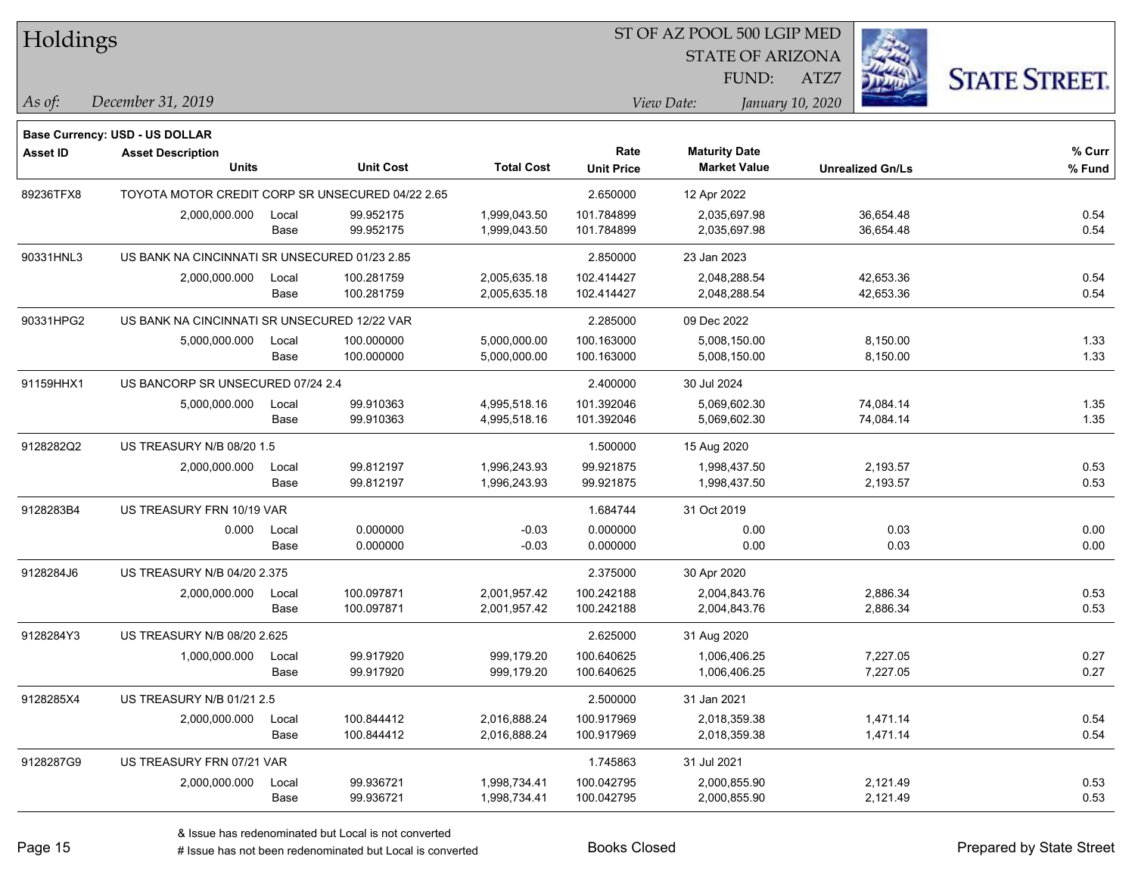| Holdings        |                                                  |       |                  |                   |                           | ST OF AZ POOL 500 LGIP MED                  |                         |                      |
|-----------------|--------------------------------------------------|-------|------------------|-------------------|---------------------------|---------------------------------------------|-------------------------|----------------------|
|                 |                                                  |       |                  |                   |                           | <b>STATE OF ARIZONA</b>                     |                         |                      |
|                 |                                                  |       |                  |                   |                           | FUND:                                       | ATZ7                    | <b>STATE STREET.</b> |
| $\vert$ As of:  | December 31, 2019                                |       |                  |                   |                           | View Date:                                  | January 10, 2020        |                      |
|                 |                                                  |       |                  |                   |                           |                                             |                         |                      |
|                 | Base Currency: USD - US DOLLAR                   |       |                  |                   |                           |                                             |                         |                      |
| <b>Asset ID</b> | <b>Asset Description</b><br><b>Units</b>         |       | <b>Unit Cost</b> | <b>Total Cost</b> | Rate<br><b>Unit Price</b> | <b>Maturity Date</b><br><b>Market Value</b> | <b>Unrealized Gn/Ls</b> | % Curr<br>% Fund     |
| 89236TFX8       | TOYOTA MOTOR CREDIT CORP SR UNSECURED 04/22 2.65 |       |                  |                   | 2.650000                  | 12 Apr 2022                                 |                         |                      |
|                 | 2,000,000.000                                    | Local | 99.952175        | 1,999,043.50      | 101.784899                | 2,035,697.98                                | 36,654.48               | 0.54                 |
|                 |                                                  | Base  | 99.952175        | 1,999,043.50      | 101.784899                | 2,035,697.98                                | 36,654.48               | 0.54                 |
| 90331HNL3       | US BANK NA CINCINNATI SR UNSECURED 01/23 2.85    |       |                  |                   | 2.850000                  | 23 Jan 2023                                 |                         |                      |
|                 | 2,000,000.000                                    | Local | 100.281759       | 2,005,635.18      | 102.414427                | 2,048,288.54                                | 42,653.36               | 0.54                 |
|                 |                                                  | Base  | 100.281759       | 2,005,635.18      | 102.414427                | 2,048,288.54                                | 42,653.36               | 0.54                 |
| 90331HPG2       | US BANK NA CINCINNATI SR UNSECURED 12/22 VAR     |       |                  |                   | 2.285000                  | 09 Dec 2022                                 |                         |                      |
|                 | 5,000,000.000                                    | Local | 100.000000       | 5,000,000.00      | 100.163000                | 5,008,150.00                                | 8,150.00                | 1.33                 |
|                 |                                                  | Base  | 100.000000       | 5,000,000.00      | 100.163000                | 5,008,150.00                                | 8,150.00                | 1.33                 |
| 91159HHX1       | US BANCORP SR UNSECURED 07/24 2.4                |       |                  |                   | 2.400000                  | 30 Jul 2024                                 |                         |                      |
|                 | 5,000,000.000                                    | Local | 99.910363        | 4,995,518.16      | 101.392046                | 5,069,602.30                                | 74,084.14               | 1.35                 |
|                 |                                                  | Base  | 99.910363        | 4,995,518.16      | 101.392046                | 5,069,602.30                                | 74,084.14               | 1.35                 |
| 9128282Q2       | US TREASURY N/B 08/20 1.5                        |       |                  |                   | 1.500000                  | 15 Aug 2020                                 |                         |                      |
|                 | 2,000,000.000                                    | Local | 99.812197        | 1,996,243.93      | 99.921875                 | 1,998,437.50                                | 2,193.57                | 0.53                 |
|                 |                                                  | Base  | 99.812197        | 1,996,243.93      | 99.921875                 | 1,998,437.50                                | 2,193.57                | 0.53                 |
| 9128283B4       | US TREASURY FRN 10/19 VAR                        |       |                  |                   | 1.684744                  | 31 Oct 2019                                 |                         |                      |
|                 | 0.000                                            | Local | 0.000000         | $-0.03$           | 0.000000                  | 0.00                                        | 0.03                    | 0.00                 |
|                 |                                                  | Base  | 0.000000         | $-0.03$           | 0.000000                  | 0.00                                        | 0.03                    | 0.00                 |
| 9128284J6       | US TREASURY N/B 04/20 2.375                      |       |                  |                   | 2.375000                  | 30 Apr 2020                                 |                         |                      |
|                 | 2,000,000.000                                    | Local | 100.097871       | 2,001,957.42      | 100.242188                | 2,004,843.76                                | 2,886.34                | 0.53                 |
|                 |                                                  | Base  | 100.097871       | 2,001,957.42      | 100.242188                | 2,004,843.76                                | 2,886.34                | 0.53                 |
| 9128284Y3       | US TREASURY N/B 08/20 2.625                      |       |                  |                   | 2.625000                  | 31 Aug 2020                                 |                         |                      |
|                 | 1,000,000.000                                    | Local | 99.917920        | 999,179.20        | 100.640625                | 1,006,406.25                                | 7,227.05                | 0.27                 |
|                 |                                                  | Base  | 99.917920        | 999,179.20        | 100.640625                | 1,006,406.25                                | 7,227.05                | 0.27                 |
| 9128285X4       | US TREASURY N/B 01/21 2.5                        |       |                  |                   | 2.500000                  | 31 Jan 2021                                 |                         |                      |
|                 | 2,000,000.000                                    | Local | 100.844412       | 2,016,888.24      | 100.917969                | 2,018,359.38                                | 1,471.14                | 0.54                 |
|                 |                                                  | Base  | 100.844412       | 2,016,888.24      | 100.917969                | 2,018,359.38                                | 1,471.14                | 0.54                 |
| 9128287G9       | US TREASURY FRN 07/21 VAR                        |       |                  |                   | 1.745863                  | 31 Jul 2021                                 |                         |                      |
|                 | 2,000,000.000                                    | Local | 99.936721        | 1,998,734.41      | 100.042795                | 2,000,855.90                                | 2,121.49                | 0.53                 |
|                 |                                                  | Base  | 99.936721        | 1,998,734.41      | 100.042795                | 2,000,855.90                                | 2,121.49                | 0.53                 |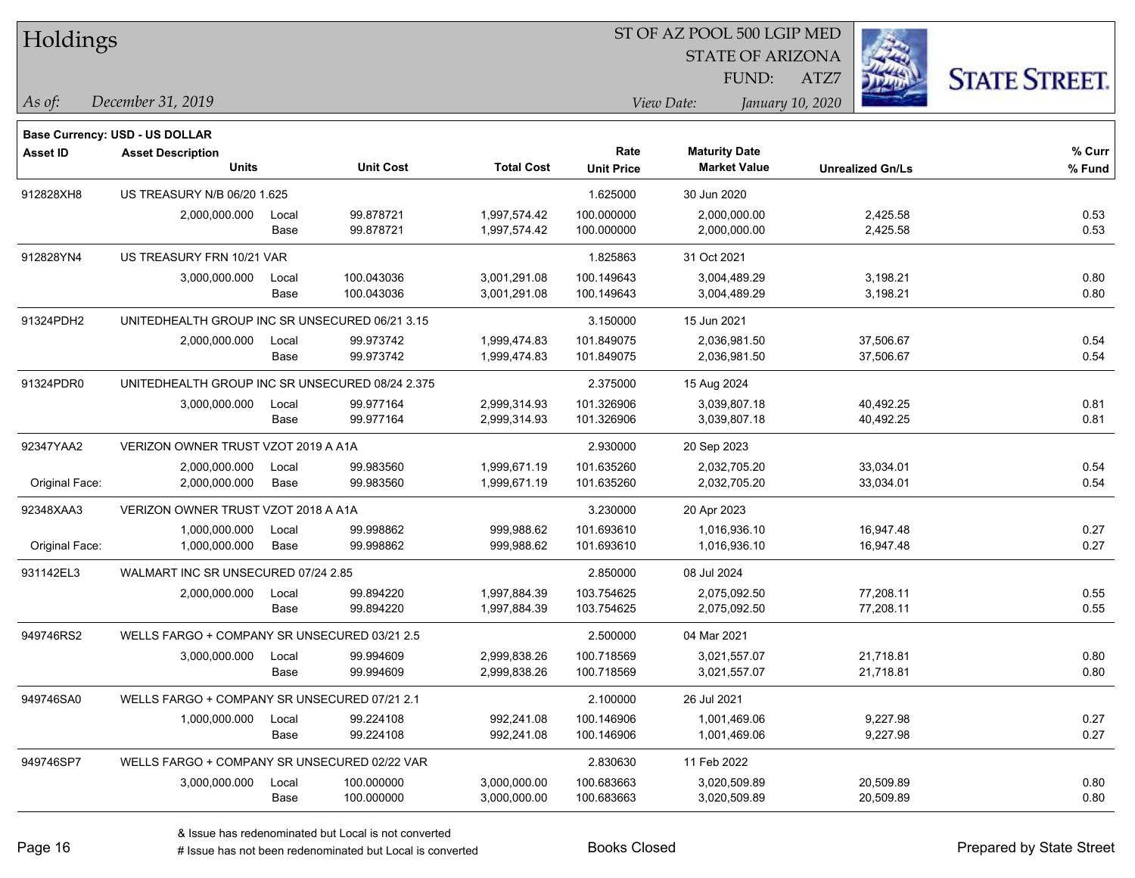| Holdings        |                                                 |       |                  |                   |                   | ST OF AZ POOL 500 LGIP MED     |                         |                      |
|-----------------|-------------------------------------------------|-------|------------------|-------------------|-------------------|--------------------------------|-------------------------|----------------------|
|                 |                                                 |       |                  |                   |                   | <b>STATE OF ARIZONA</b>        |                         |                      |
|                 |                                                 |       |                  |                   |                   | FUND:                          | ATZ7                    | <b>STATE STREET.</b> |
| As of:          | December 31, 2019                               |       |                  |                   |                   | View Date:<br>January 10, 2020 |                         |                      |
|                 | <b>Base Currency: USD - US DOLLAR</b>           |       |                  |                   |                   |                                |                         |                      |
| <b>Asset ID</b> | <b>Asset Description</b>                        |       |                  |                   | Rate              | <b>Maturity Date</b>           |                         | % Curr               |
|                 | <b>Units</b>                                    |       | <b>Unit Cost</b> | <b>Total Cost</b> | <b>Unit Price</b> | <b>Market Value</b>            | <b>Unrealized Gn/Ls</b> | % Fund               |
| 912828XH8       | US TREASURY N/B 06/20 1.625                     |       |                  |                   | 1.625000          | 30 Jun 2020                    |                         |                      |
|                 | 2,000,000.000                                   | Local | 99.878721        | 1,997,574.42      | 100.000000        | 2,000,000.00                   | 2,425.58                | 0.53                 |
|                 |                                                 | Base  | 99.878721        | 1,997,574.42      | 100.000000        | 2,000,000.00                   | 2,425.58                | 0.53                 |
| 912828YN4       | US TREASURY FRN 10/21 VAR                       |       |                  |                   | 1.825863          | 31 Oct 2021                    |                         |                      |
|                 | 3,000,000.000                                   | Local | 100.043036       | 3,001,291.08      | 100.149643        | 3,004,489.29                   | 3,198.21                | 0.80                 |
|                 |                                                 | Base  | 100.043036       | 3,001,291.08      | 100.149643        | 3,004,489.29                   | 3,198.21                | 0.80                 |
| 91324PDH2       | UNITEDHEALTH GROUP INC SR UNSECURED 06/21 3.15  |       |                  |                   | 3.150000          | 15 Jun 2021                    |                         |                      |
|                 | 2,000,000.000                                   | Local | 99.973742        | 1,999,474.83      | 101.849075        | 2,036,981.50                   | 37,506.67               | 0.54                 |
|                 |                                                 | Base  | 99.973742        | 1,999,474.83      | 101.849075        | 2,036,981.50                   | 37,506.67               | 0.54                 |
| 91324PDR0       | UNITEDHEALTH GROUP INC SR UNSECURED 08/24 2.375 |       |                  |                   | 2.375000          | 15 Aug 2024                    |                         |                      |
|                 | 3,000,000.000                                   | Local | 99.977164        | 2,999,314.93      | 101.326906        | 3,039,807.18                   | 40,492.25               | 0.81                 |
|                 |                                                 | Base  | 99.977164        | 2,999,314.93      | 101.326906        | 3,039,807.18                   | 40,492.25               | 0.81                 |
| 92347YAA2       | VERIZON OWNER TRUST VZOT 2019 A A1A             |       |                  |                   | 2.930000          | 20 Sep 2023                    |                         |                      |
|                 | 2,000,000.000                                   | Local | 99.983560        | 1,999,671.19      | 101.635260        | 2,032,705.20                   | 33,034.01               | 0.54                 |
| Original Face:  | 2,000,000.000                                   | Base  | 99.983560        | 1,999,671.19      | 101.635260        | 2,032,705.20                   | 33,034.01               | 0.54                 |
| 92348XAA3       | VERIZON OWNER TRUST VZOT 2018 A A1A             |       |                  |                   | 3.230000          | 20 Apr 2023                    |                         |                      |
|                 | 1,000,000.000                                   | Local | 99.998862        | 999,988.62        | 101.693610        | 1,016,936.10                   | 16,947.48               | 0.27                 |
| Original Face:  | 1,000,000.000                                   | Base  | 99.998862        | 999,988.62        | 101.693610        | 1,016,936.10                   | 16,947.48               | 0.27                 |
| 931142EL3       | WALMART INC SR UNSECURED 07/24 2.85             |       |                  |                   | 2.850000          | 08 Jul 2024                    |                         |                      |
|                 | 2,000,000.000                                   | Local | 99.894220        | 1,997,884.39      | 103.754625        | 2,075,092.50                   | 77,208.11               | 0.55                 |
|                 |                                                 | Base  | 99.894220        | 1,997,884.39      | 103.754625        | 2,075,092.50                   | 77,208.11               | 0.55                 |
| 949746RS2       | WELLS FARGO + COMPANY SR UNSECURED 03/21 2.5    |       |                  |                   | 2.500000          | 04 Mar 2021                    |                         |                      |
|                 | 3,000,000.000                                   | Local | 99.994609        | 2,999,838.26      | 100.718569        | 3,021,557.07                   | 21,718.81               | 0.80                 |
|                 |                                                 | Base  | 99.994609        | 2,999,838.26      | 100.718569        | 3,021,557.07                   | 21,718.81               | 0.80                 |
| 949746SA0       | WELLS FARGO + COMPANY SR UNSECURED 07/21 2.1    |       |                  |                   | 2.100000          | 26 Jul 2021                    |                         |                      |
|                 | 1,000,000.000                                   | Local | 99.224108        | 992,241.08        | 100.146906        | 1,001,469.06                   | 9,227.98                | 0.27                 |
|                 |                                                 | Base  | 99.224108        | 992,241.08        | 100.146906        | 1,001,469.06                   | 9,227.98                | 0.27                 |
| 949746SP7       | WELLS FARGO + COMPANY SR UNSECURED 02/22 VAR    |       |                  |                   | 2.830630          | 11 Feb 2022                    |                         |                      |
|                 | 3,000,000.000                                   | Local | 100.000000       | 3,000,000.00      | 100.683663        | 3,020,509.89                   | 20,509.89               | 0.80                 |
|                 |                                                 | Base  | 100.000000       | 3,000,000.00      | 100.683663        | 3,020,509.89                   | 20,509.89               | 0.80                 |

L

 $\overline{\phantom{a}}$ 

 $\overline{\phantom{0}}$ 

 $\overline{\phantom{0}}$ 

 $\overline{\phantom{0}}$ 

 $\overline{\phantom{0}}$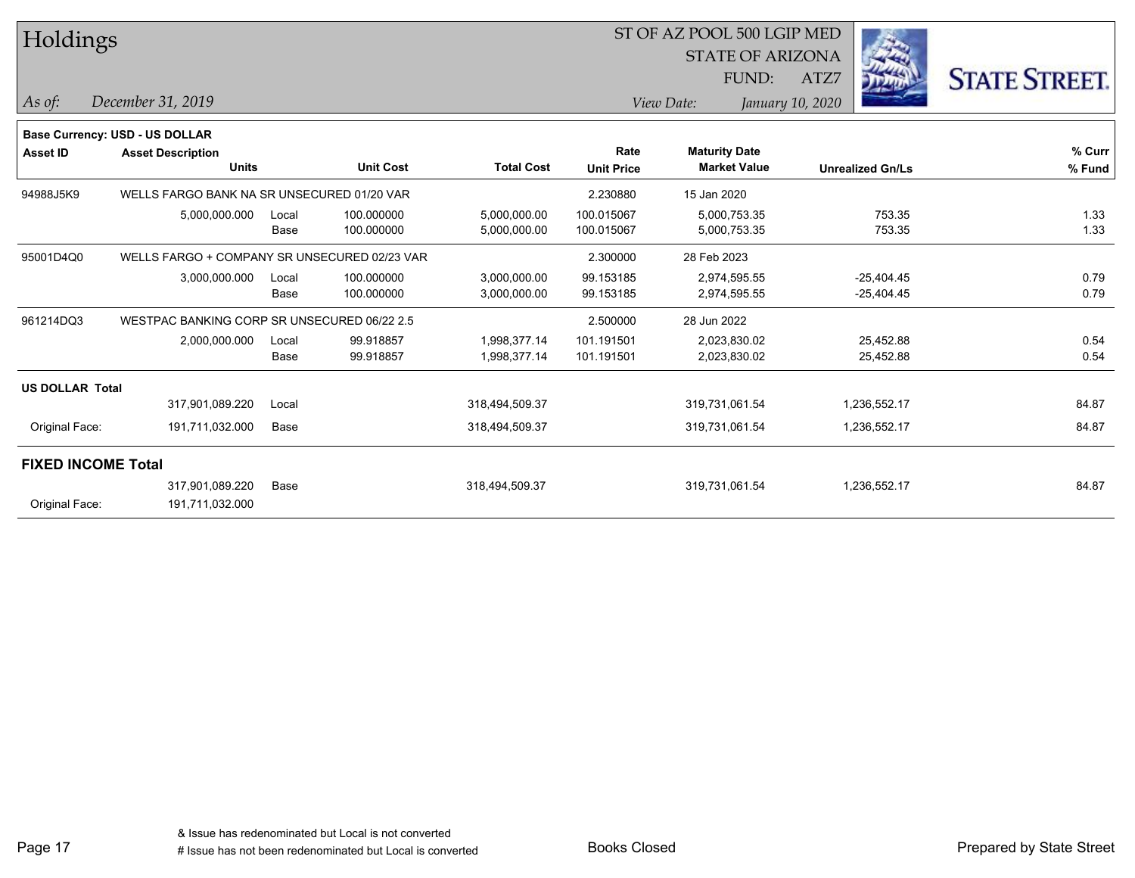| Holdings                  |                                              |       | ST OF AZ POOL 500 LGIP MED |                   |                   |             |                         |                  |                         |                      |
|---------------------------|----------------------------------------------|-------|----------------------------|-------------------|-------------------|-------------|-------------------------|------------------|-------------------------|----------------------|
|                           |                                              |       |                            |                   |                   |             | <b>STATE OF ARIZONA</b> |                  |                         |                      |
|                           |                                              |       |                            |                   |                   |             | FUND:                   | ATZ7             |                         | <b>STATE STREET.</b> |
| As of:                    | December 31, 2019                            |       |                            |                   |                   | View Date:  |                         | January 10, 2020 |                         |                      |
|                           | Base Currency: USD - US DOLLAR               |       |                            |                   |                   |             |                         |                  |                         |                      |
| <b>Asset ID</b>           | <b>Asset Description</b>                     |       |                            |                   | Rate              |             | <b>Maturity Date</b>    |                  |                         | % Curr               |
|                           | <b>Units</b>                                 |       | <b>Unit Cost</b>           | <b>Total Cost</b> | <b>Unit Price</b> |             | <b>Market Value</b>     |                  | <b>Unrealized Gn/Ls</b> | % Fund               |
| 94988J5K9                 | WELLS FARGO BANK NA SR UNSECURED 01/20 VAR   |       |                            |                   | 2.230880          | 15 Jan 2020 |                         |                  |                         |                      |
|                           | 5,000,000.000                                | Local | 100.000000                 | 5,000,000.00      | 100.015067        |             | 5,000,753.35            |                  | 753.35                  | 1.33                 |
|                           |                                              | Base  | 100.000000                 | 5,000,000.00      | 100.015067        |             | 5,000,753.35            |                  | 753.35                  | 1.33                 |
| 95001D4Q0                 | WELLS FARGO + COMPANY SR UNSECURED 02/23 VAR |       |                            |                   | 2.300000          | 28 Feb 2023 |                         |                  |                         |                      |
|                           | 3,000,000.000                                | Local | 100.000000                 | 3,000,000.00      | 99.153185         |             | 2,974,595.55            |                  | $-25,404.45$            | 0.79                 |
|                           |                                              | Base  | 100.000000                 | 3,000,000.00      | 99.153185         |             | 2,974,595.55            |                  | $-25,404.45$            | 0.79                 |
| 961214DQ3                 | WESTPAC BANKING CORP SR UNSECURED 06/22 2.5  |       |                            |                   | 2.500000          | 28 Jun 2022 |                         |                  |                         |                      |
|                           | 2,000,000.000                                | Local | 99.918857                  | 1,998,377.14      | 101.191501        |             | 2,023,830.02            |                  | 25,452.88               | 0.54                 |
|                           |                                              | Base  | 99.918857                  | 1,998,377.14      | 101.191501        |             | 2,023,830.02            |                  | 25,452.88               | 0.54                 |
| <b>US DOLLAR Total</b>    |                                              |       |                            |                   |                   |             |                         |                  |                         |                      |
|                           | 317,901,089.220                              | Local |                            | 318,494,509.37    |                   |             | 319,731,061.54          |                  | 1,236,552.17            | 84.87                |
| Original Face:            | 191,711,032.000                              | Base  |                            | 318,494,509.37    |                   |             | 319,731,061.54          |                  | 1,236,552.17            | 84.87                |
| <b>FIXED INCOME Total</b> |                                              |       |                            |                   |                   |             |                         |                  |                         |                      |
|                           | 317,901,089.220                              | Base  |                            | 318,494,509.37    |                   |             | 319,731,061.54          |                  | 1,236,552.17            | 84.87                |
| Original Face:            | 191,711,032.000                              |       |                            |                   |                   |             |                         |                  |                         |                      |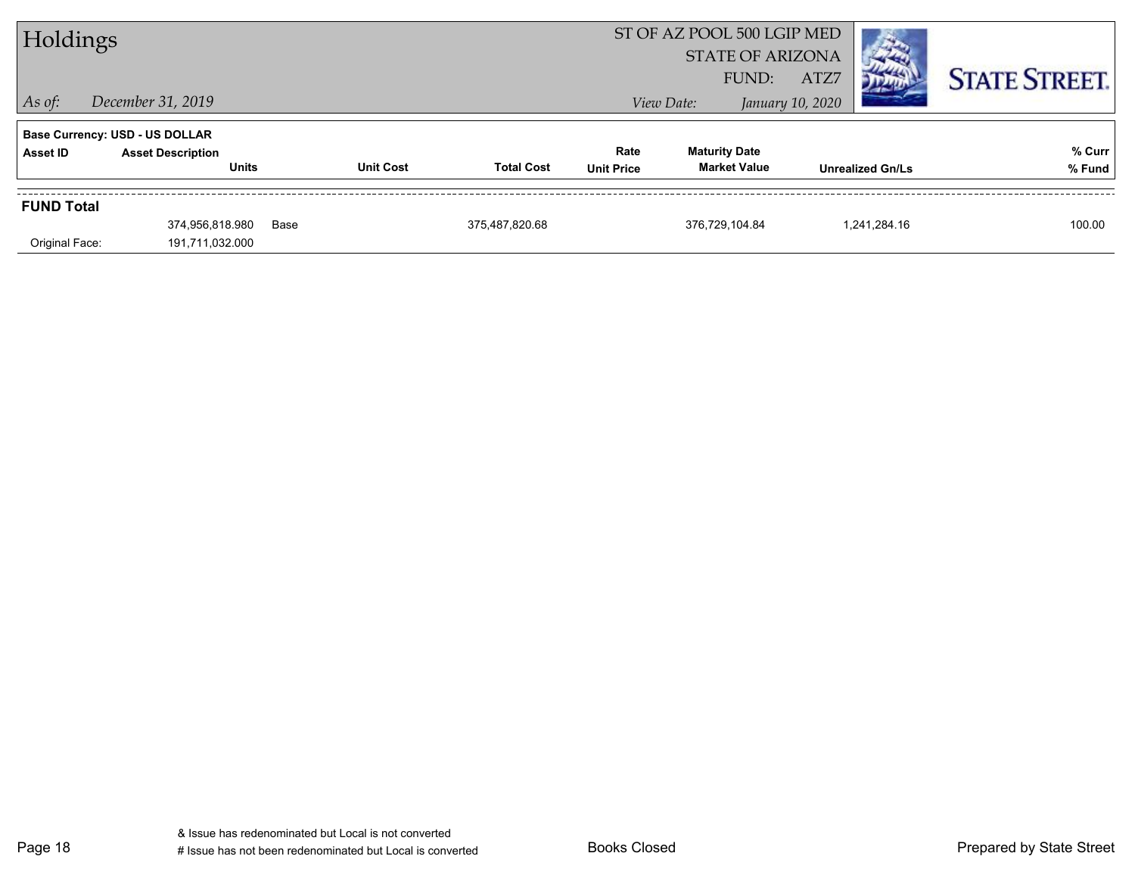| Holdings          |                                          |      | ST OF AZ POOL 500 LGIP MED<br><b>STATE OF ARIZONA</b><br>ATZ7<br>FUND: |                   |                           |                                             |                  | <b>STATE STREET.</b>    |                  |
|-------------------|------------------------------------------|------|------------------------------------------------------------------------|-------------------|---------------------------|---------------------------------------------|------------------|-------------------------|------------------|
| $ $ As of:        | December 31, 2019                        |      |                                                                        |                   |                           | View Date:                                  | January 10, 2020 |                         |                  |
|                   | <b>Base Currency: USD - US DOLLAR</b>    |      |                                                                        |                   |                           |                                             |                  |                         |                  |
| Asset ID          | <b>Asset Description</b><br><b>Units</b> |      | <b>Unit Cost</b>                                                       | <b>Total Cost</b> | Rate<br><b>Unit Price</b> | <b>Maturity Date</b><br><b>Market Value</b> |                  | <b>Unrealized Gn/Ls</b> | % Curr<br>% Fund |
| <b>FUND Total</b> |                                          |      |                                                                        |                   |                           |                                             |                  |                         |                  |
| Original Face:    | 374.956.818.980<br>191,711,032.000       | Base |                                                                        | 375,487,820.68    |                           | 376.729.104.84                              |                  | 1.241.284.16            | 100.00           |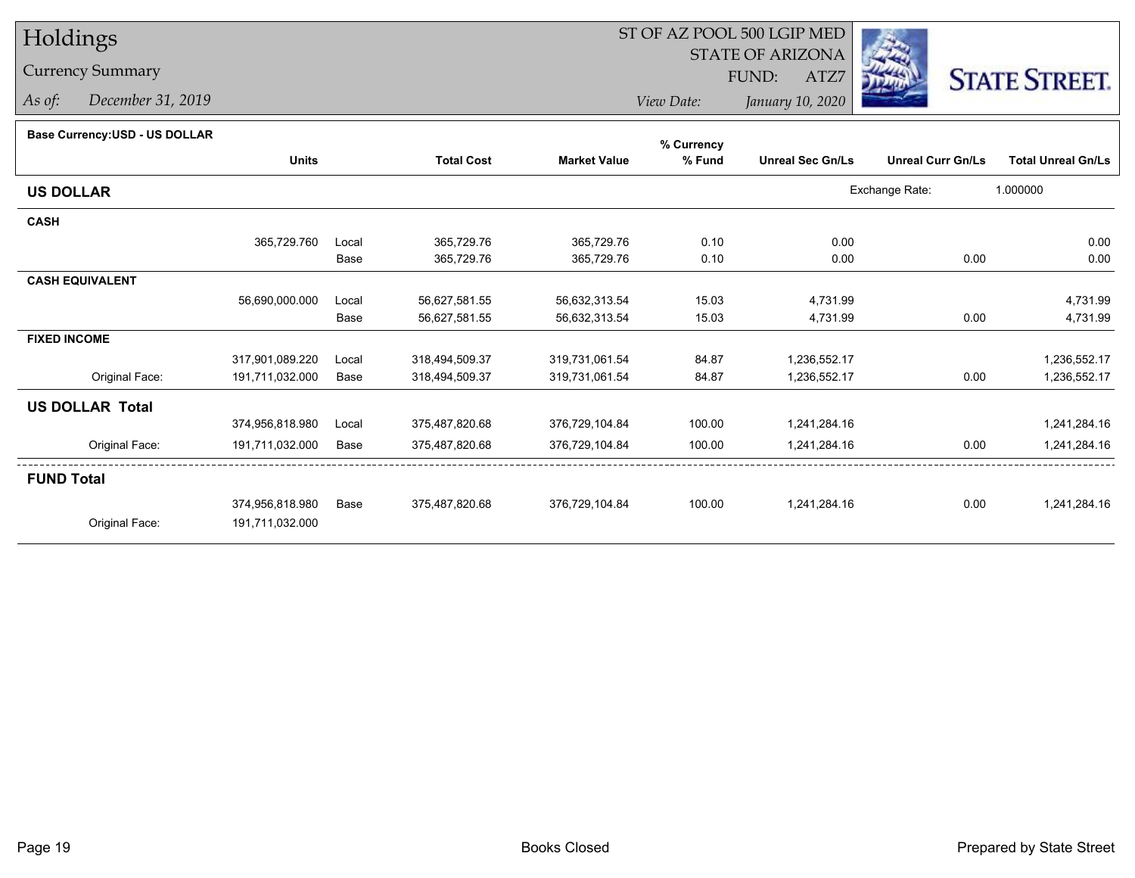# Holdings

### Currency Summary

*As of: December 31, 2019*

## ST OF AZ POOL 500 LGIP MED

 STATE OF ARIZONAFUND:

ATZ7



*View Date:January 10, 2020*

|  | Base Currency: USD - US DOLLAR |  |
|--|--------------------------------|--|
|  |                                |  |

| <b>Base Currency:USD - US DOLLAR</b> |                 |       |                   |                     | % Currency |                         |                          |                           |
|--------------------------------------|-----------------|-------|-------------------|---------------------|------------|-------------------------|--------------------------|---------------------------|
|                                      | <b>Units</b>    |       | <b>Total Cost</b> | <b>Market Value</b> | % Fund     | <b>Unreal Sec Gn/Ls</b> | <b>Unreal Curr Gn/Ls</b> | <b>Total Unreal Gn/Ls</b> |
| <b>US DOLLAR</b>                     |                 |       |                   |                     |            |                         | Exchange Rate:           | 1.000000                  |
| <b>CASH</b>                          |                 |       |                   |                     |            |                         |                          |                           |
|                                      | 365,729.760     | Local | 365,729.76        | 365,729.76          | 0.10       | 0.00                    |                          | 0.00                      |
|                                      |                 | Base  | 365,729.76        | 365,729.76          | 0.10       | 0.00                    | 0.00                     | 0.00                      |
| <b>CASH EQUIVALENT</b>               |                 |       |                   |                     |            |                         |                          |                           |
|                                      | 56,690,000.000  | Local | 56,627,581.55     | 56,632,313.54       | 15.03      | 4,731.99                |                          | 4,731.99                  |
|                                      |                 | Base  | 56,627,581.55     | 56,632,313.54       | 15.03      | 4,731.99                | 0.00                     | 4,731.99                  |
| <b>FIXED INCOME</b>                  |                 |       |                   |                     |            |                         |                          |                           |
|                                      | 317,901,089.220 | Local | 318,494,509.37    | 319,731,061.54      | 84.87      | 1,236,552.17            |                          | 1,236,552.17              |
| Original Face:                       | 191,711,032.000 | Base  | 318,494,509.37    | 319,731,061.54      | 84.87      | 1,236,552.17            | 0.00                     | 1,236,552.17              |
| <b>US DOLLAR Total</b>               |                 |       |                   |                     |            |                         |                          |                           |
|                                      | 374,956,818.980 | Local | 375,487,820.68    | 376,729,104.84      | 100.00     | 1,241,284.16            |                          | 1,241,284.16              |
| Original Face:                       | 191,711,032.000 | Base  | 375,487,820.68    | 376,729,104.84      | 100.00     | 1,241,284.16            | 0.00                     | 1,241,284.16              |
| <b>FUND Total</b>                    |                 |       |                   |                     |            |                         |                          |                           |
|                                      | 374,956,818.980 | Base  | 375,487,820.68    | 376,729,104.84      | 100.00     | 1,241,284.16            | 0.00                     | 1,241,284.16              |
| Original Face:                       | 191,711,032.000 |       |                   |                     |            |                         |                          |                           |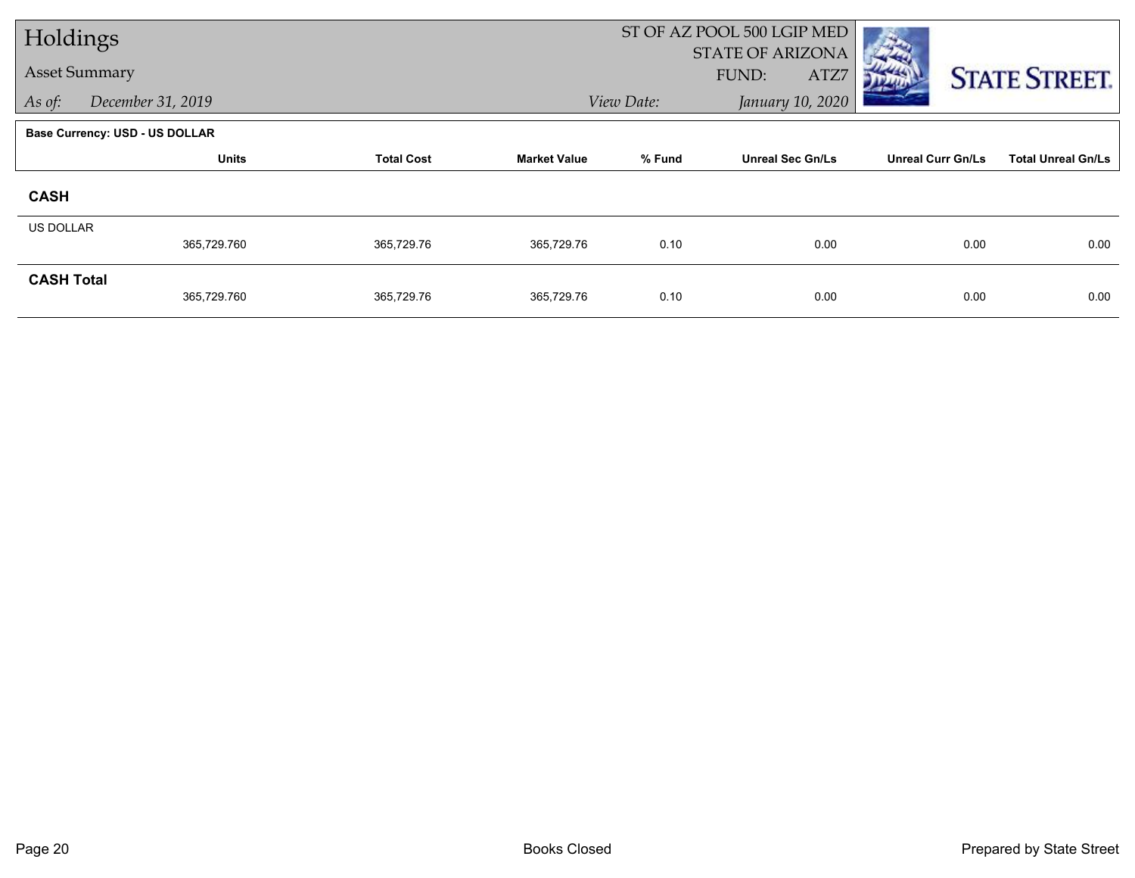| Holdings                    |                                |                   |            |                                | ST OF AZ POOL 500 LGIP MED               |                          |                           |  |
|-----------------------------|--------------------------------|-------------------|------------|--------------------------------|------------------------------------------|--------------------------|---------------------------|--|
| <b>Asset Summary</b>        |                                |                   |            |                                | <b>STATE OF ARIZONA</b><br>FUND:<br>ATZ7 |                          |                           |  |
| As of:<br>December 31, 2019 |                                |                   |            | January 10, 2020<br>View Date: |                                          |                          | <b>STATE STREET.</b>      |  |
|                             |                                |                   |            |                                |                                          |                          |                           |  |
|                             | Base Currency: USD - US DOLLAR |                   |            |                                |                                          |                          |                           |  |
|                             | <b>Units</b>                   | <b>Total Cost</b> |            | % Fund                         | <b>Unreal Sec Gn/Ls</b>                  | <b>Unreal Curr Gn/Ls</b> | <b>Total Unreal Gn/Ls</b> |  |
| <b>CASH</b>                 |                                |                   |            |                                |                                          |                          |                           |  |
| <b>US DOLLAR</b>            |                                |                   |            |                                |                                          |                          |                           |  |
|                             | 365,729.760                    | 365,729.76        | 365,729.76 | 0.10                           | 0.00                                     | 0.00                     | 0.00                      |  |
| <b>CASH Total</b>           |                                |                   |            |                                |                                          |                          |                           |  |
|                             | 365,729.760                    | 365,729.76        | 365,729.76 | 0.10                           | 0.00                                     | 0.00                     | 0.00                      |  |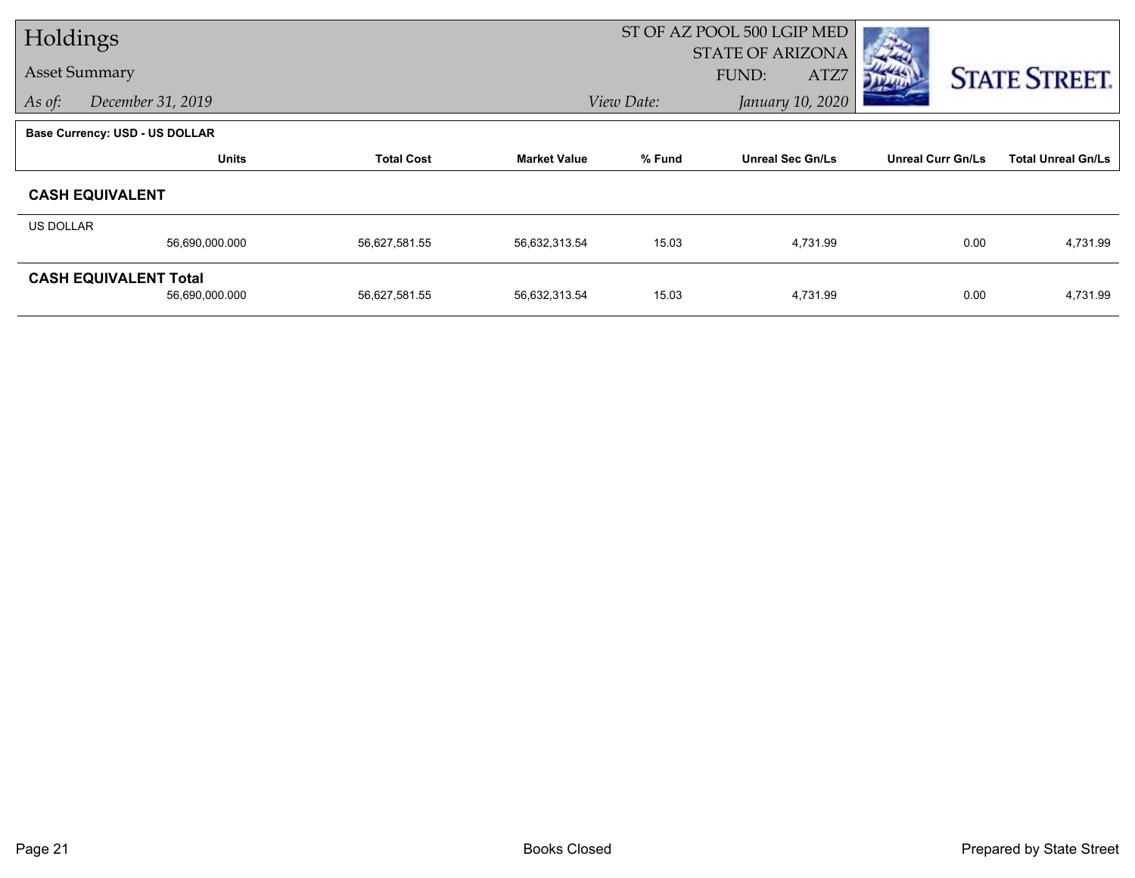| Holdings         |                                       |                   | ST OF AZ POOL 500 LGIP MED |                                |                         |                          |                           |
|------------------|---------------------------------------|-------------------|----------------------------|--------------------------------|-------------------------|--------------------------|---------------------------|
|                  |                                       |                   |                            |                                | <b>STATE OF ARIZONA</b> |                          |                           |
|                  | <b>Asset Summary</b>                  |                   |                            |                                | FUND:<br>ATZ7           |                          | <b>STATE STREET.</b>      |
| As of:           | December 31, 2019                     |                   |                            | January 10, 2020<br>View Date: |                         |                          |                           |
|                  | <b>Base Currency: USD - US DOLLAR</b> |                   |                            |                                |                         |                          |                           |
|                  | <b>Units</b>                          | <b>Total Cost</b> | <b>Market Value</b>        | % Fund                         | <b>Unreal Sec Gn/Ls</b> | <b>Unreal Curr Gn/Ls</b> | <b>Total Unreal Gn/Ls</b> |
|                  | <b>CASH EQUIVALENT</b>                |                   |                            |                                |                         |                          |                           |
| <b>US DOLLAR</b> |                                       |                   |                            |                                |                         |                          |                           |
|                  | 56,690,000.000                        | 56,627,581.55     | 56,632,313.54              | 15.03                          | 4,731.99                | 0.00                     | 4,731.99                  |
|                  | <b>CASH EQUIVALENT Total</b>          |                   |                            |                                |                         |                          |                           |
|                  | 56,690,000.000                        | 56,627,581.55     | 56,632,313.54              | 15.03                          | 4,731.99                | 0.00                     | 4,731.99                  |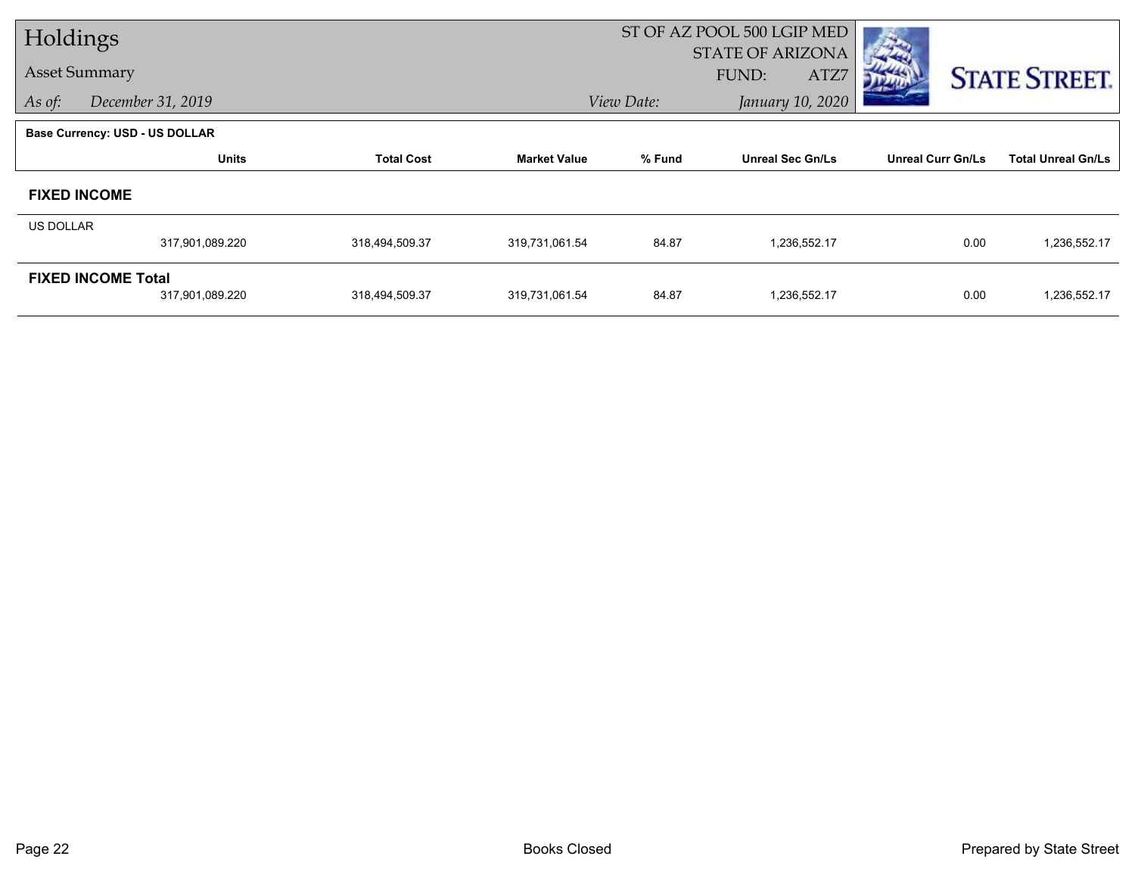| Holdings         |                                       |                   | ST OF AZ POOL 500 LGIP MED |            |                                          |                          |                           |
|------------------|---------------------------------------|-------------------|----------------------------|------------|------------------------------------------|--------------------------|---------------------------|
|                  | <b>Asset Summary</b>                  |                   |                            |            | <b>STATE OF ARIZONA</b><br>FUND:<br>ATZ7 |                          | <b>STATE STREET.</b>      |
| As of:           | December 31, 2019                     |                   |                            | View Date: |                                          |                          |                           |
|                  | <b>Base Currency: USD - US DOLLAR</b> |                   |                            |            |                                          |                          |                           |
|                  | <b>Units</b>                          | <b>Total Cost</b> | <b>Market Value</b>        | % Fund     | <b>Unreal Sec Gn/Ls</b>                  | <b>Unreal Curr Gn/Ls</b> | <b>Total Unreal Gn/Ls</b> |
|                  | <b>FIXED INCOME</b>                   |                   |                            |            |                                          |                          |                           |
| <b>US DOLLAR</b> |                                       |                   |                            |            |                                          |                          |                           |
|                  | 317,901,089.220                       | 318,494,509.37    | 319,731,061.54             | 84.87      | 1,236,552.17                             | 0.00                     | 1,236,552.17              |
|                  | <b>FIXED INCOME Total</b>             |                   |                            |            |                                          |                          |                           |
|                  | 317,901,089.220                       | 318,494,509.37    | 319,731,061.54             | 84.87      | 1,236,552.17                             | 0.00                     | 1,236,552.17              |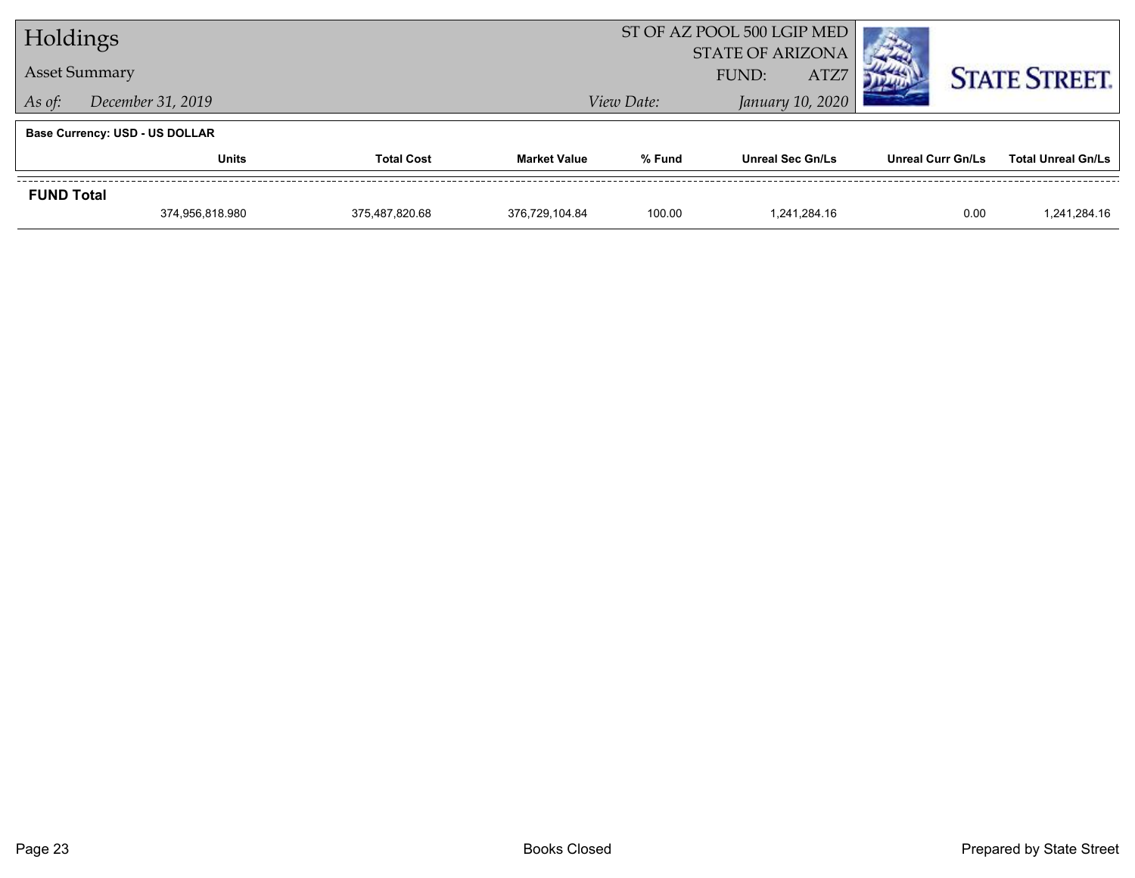| Holdings          |                                       |                | ST OF AZ POOL 500 LGIP MED |               |                         |                          |                           |  |
|-------------------|---------------------------------------|----------------|----------------------------|---------------|-------------------------|--------------------------|---------------------------|--|
|                   |                                       |                |                            |               | <b>STATE OF ARIZONA</b> |                          |                           |  |
|                   | <b>Asset Summary</b>                  |                |                            | ATZ7<br>FUND: |                         |                          | <b>STATE STREET.</b>      |  |
| As of:            | December 31, 2019                     |                |                            | View Date:    | January 10, 2020        |                          |                           |  |
|                   | <b>Base Currency: USD - US DOLLAR</b> |                |                            |               |                         |                          |                           |  |
|                   | <b>Total Cost</b><br>Units            |                | <b>Market Value</b>        | % Fund        | <b>Unreal Sec Gn/Ls</b> | <b>Unreal Curr Gn/Ls</b> | <b>Total Unreal Gn/Ls</b> |  |
| <b>FUND Total</b> |                                       |                |                            |               |                         |                          |                           |  |
|                   | 374.956.818.980                       | 375.487.820.68 | 376.729.104.84             | 100.00        | 1.241.284.16            | 0.00                     | 1.241.284.16              |  |